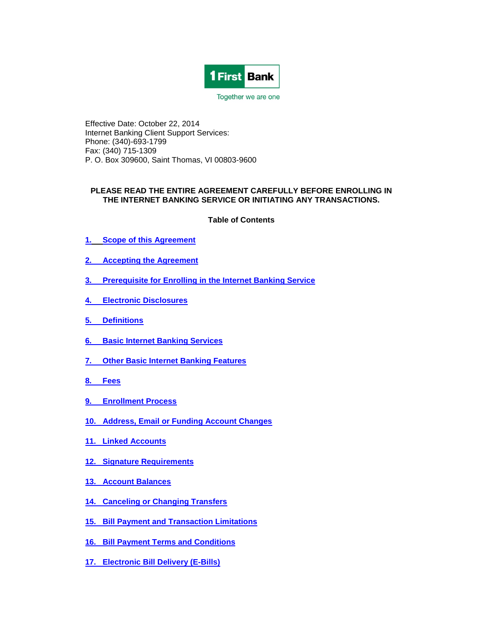

Together we are one

Effective Date: October 22, 2014 Internet Banking Client Support Services: Phone: (340)-693-1799 Fax: (340) 715-1309 P. O. Box 309600, Saint Thomas, VI 00803-9600

### **PLEASE READ THE ENTIRE AGREEMENT CAREFULLY BEFORE ENROLLING IN THE INTERNET BANKING SERVICE OR INITIATING ANY TRANSACTIONS.**

**Table of Contents**

- **1. Scope of this Agreement**
- **2. Accepting the Agreement**
- **3. [Prerequisite for Enrolling in the Internet Banking Service](#page-2-0)**
- **4. [Electronic Disclosures](#page-3-0)**
- **5. [Definitions](#page-4-0)**
- **6. [Basic Internet Banking Services](#page-7-0)**
- **7. [Other Basic Internet Banking Features](#page-7-1)**
- **[8. Fees](#page-8-0)**
- **[9. Enrollment Process](#page-8-1)**
- **10. [Address, Email or Funding Account Changes](#page-9-0)**
- **[11. Linked Accounts](#page-9-1)**
- **[12. Signature Requirements](#page-9-2)**
- **[13. Account Balances](#page-10-0)**
- **[14. Canceling or Changing Transfers](#page-10-1)**
- **[15. Bill Payment and Transaction Limitations](#page-11-0)**
- **[16. Bill Payment Terms and Conditions](#page-11-1)**
- **[17. Electronic Bill Delivery \(E-Bills\)](#page-14-0)**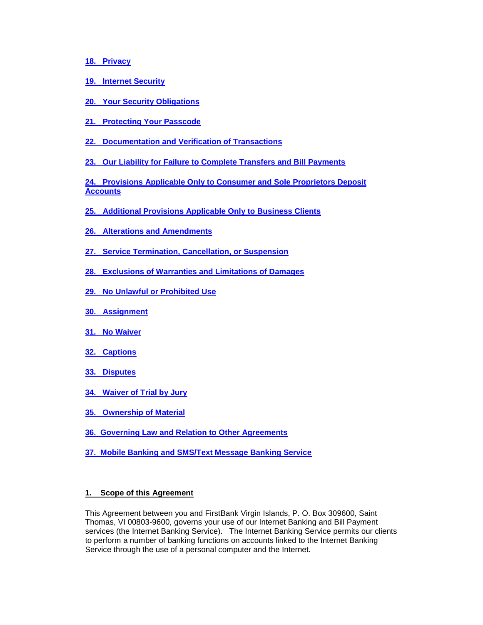### **[18. Privacy](#page-16-0)**

- **[19. Internet Security](#page-16-1)**
- **[20. Your Security Obligations](#page-18-0)**
- **[21. Protecting Your Passcode](#page-19-0)**
- **[22. Documentation and Verification of Transactions](#page-19-1)**
- **[23. Our Liability for Failure to Complete Transfers and Bill Payments](#page-19-2)**

**[24. Provisions Applicable Only to Consumer and Sole Proprietors Deposit](#page-20-0)  [Accounts](#page-20-0)**

- **[25. Additional Provisions Applicable Only to Business Clients](#page-21-0)**
- **[26. Alterations and Amendments](#page-25-0)**
- **[27. Service Termination, Cancellation, or Suspension](#page-25-1)**
- **[28. Exclusions of Warranties and Limitations of Damages](#page-26-0)**
- **[29. No Unlawful or Prohibited Use](#page-27-0)**
- **[30. Assignment](#page-27-1)**
- **[31. No Waiver](#page-27-2)**
- **[32. Captions](#page-27-3)**
- **[33. Disputes](#page-27-4)**
- **[34. Waiver of Trial by Jury](#page-28-0)**
- **[35. Ownership of Material](#page-28-1)**
- **36. [Governing Law and Relation to Other Agreements](#page-28-2)**
- **37. Mobile Banking [and SMS/Text Message Banking Service](#page-28-2)**

### **1. Scope of this Agreement**

This Agreement between you and FirstBank Virgin Islands, P. O. Box 309600, Saint Thomas, VI 00803-9600, governs your use of our Internet Banking and Bill Payment services (the Internet Banking Service). The Internet Banking Service permits our clients to perform a number of banking functions on accounts linked to the Internet Banking Service through the use of a personal computer and the Internet.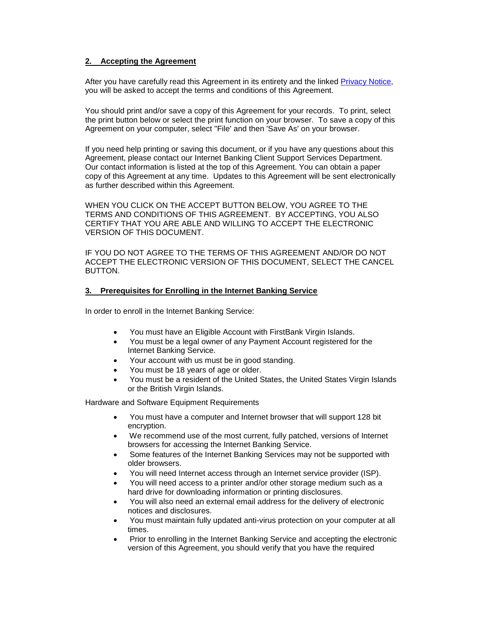### **2. Accepting the Agreement**

After you have carefully read this Agreement in its entirety and the linked [Privacy Notice,](http://www.firstbankvi.com/files/FirstBank_Privacy_Policy.pdf) you will be asked to accept the terms and conditions of this Agreement.

You should print and/or save a copy of this Agreement for your records. To print, select the print button below or select the print function on your browser. To save a copy of this Agreement on your computer, select "File' and then 'Save As' on your browser.

If you need help printing or saving this document, or if you have any questions about this Agreement, please contact our Internet Banking Client Support Services Department. Our contact information is listed at the top of this Agreement. You can obtain a paper copy of this Agreement at any time. Updates to this Agreement will be sent electronically as further described within this Agreement.

WHEN YOU CLICK ON THE ACCEPT BUTTON BELOW, YOU AGREE TO THE TERMS AND CONDITIONS OF THIS AGREEMENT. BY ACCEPTING, YOU ALSO CERTIFY THAT YOU ARE ABLE AND WILLING TO ACCEPT THE ELECTRONIC VERSION OF THIS DOCUMENT.

IF YOU DO NOT AGREE TO THE TERMS OF THIS AGREEMENT AND/OR DO NOT ACCEPT THE ELECTRONIC VERSION OF THIS DOCUMENT, SELECT THE CANCEL BUTTON.

### <span id="page-2-0"></span>**3. Prerequisites for Enrolling in the Internet Banking Service**

In order to enroll in the Internet Banking Service:

- You must have an Eligible Account with FirstBank Virgin Islands.
- You must be a legal owner of any Payment Account registered for the Internet Banking Service.
- Your account with us must be in good standing.
- You must be 18 years of age or older.
- You must be a resident of the United States, the United States Virgin Islands or the British Virgin Islands.

Hardware and Software Equipment Requirements

- You must have a computer and Internet browser that will support 128 bit encryption.
- We recommend use of the most current, fully patched, versions of Internet browsers for accessing the Internet Banking Service.
- Some features of the Internet Banking Services may not be supported with older browsers.
- You will need Internet access through an Internet service provider (ISP).
- You will need access to a printer and/or other storage medium such as a hard drive for downloading information or printing disclosures.
- You will also need an external email address for the delivery of electronic notices and disclosures.
- You must maintain fully updated anti-virus protection on your computer at all times.
- Prior to enrolling in the Internet Banking Service and accepting the electronic version of this Agreement, you should verify that you have the required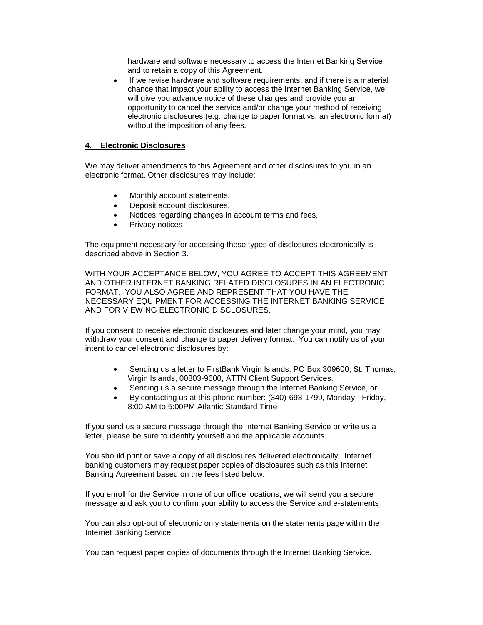hardware and software necessary to access the Internet Banking Service and to retain a copy of this Agreement.

• If we revise hardware and software requirements, and if there is a material chance that impact your ability to access the Internet Banking Service, we will give you advance notice of these changes and provide you an opportunity to cancel the service and/or change your method of receiving electronic disclosures (e.g. change to paper format vs. an electronic format) without the imposition of any fees*.*

### <span id="page-3-0"></span>**4. Electronic Disclosures**

We may deliver amendments to this Agreement and other disclosures to you in an electronic format. Other disclosures may include:

- Monthly account statements,
- Deposit account disclosures,
- Notices regarding changes in account terms and fees,
- Privacy notices

The equipment necessary for accessing these types of disclosures electronically is described above in Section 3.

WITH YOUR ACCEPTANCE BELOW, YOU AGREE TO ACCEPT THIS AGREEMENT AND OTHER INTERNET BANKING RELATED DISCLOSURES IN AN ELECTRONIC FORMAT. YOU ALSO AGREE AND REPRESENT THAT YOU HAVE THE NECESSARY EQUIPMENT FOR ACCESSING THE INTERNET BANKING SERVICE AND FOR VIEWING ELECTRONIC DISCLOSURES.

If you consent to receive electronic disclosures and later change your mind, you may withdraw your consent and change to paper delivery format. You can notify us of your intent to cancel electronic disclosures by:

- Sending us a letter to FirstBank Virgin Islands, PO Box 309600, St. Thomas, Virgin Islands, 00803-9600, ATTN Client Support Services.
- Sending us a secure message through the Internet Banking Service, or
- By contacting us at this phone number: (340)-693-1799, Monday Friday, 8:00 AM to 5:00PM Atlantic Standard Time

If you send us a secure message through the Internet Banking Service or write us a letter, please be sure to identify yourself and the applicable accounts.

You should print or save a copy of all disclosures delivered electronically. Internet banking customers may request paper copies of disclosures such as this Internet Banking Agreement based on the fees listed below.

If you enroll for the Service in one of our office locations, we will send you a secure message and ask you to confirm your ability to access the Service and e-statements

You can also opt-out of electronic only statements on the statements page within the Internet Banking Service.

You can request paper copies of documents through the Internet Banking Service.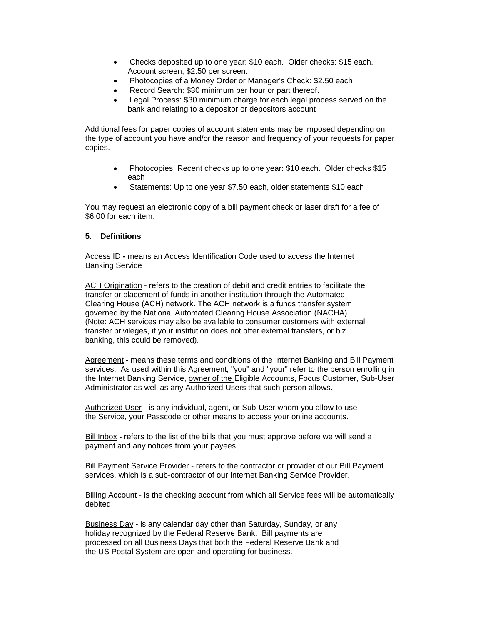- Checks deposited up to one year: \$10 each. Older checks: \$15 each. Account screen, \$2.50 per screen.
- Photocopies of a Money Order or Manager's Check: \$2.50 each
- Record Search: \$30 minimum per hour or part thereof.
- Legal Process: \$30 minimum charge for each legal process served on the bank and relating to a depositor or depositors account

Additional fees for paper copies of account statements may be imposed depending on the type of account you have and/or the reason and frequency of your requests for paper copies.

- Photocopies: Recent checks up to one year: \$10 each. Older checks \$15 each
- Statements: Up to one year \$7.50 each, older statements \$10 each

You may request an electronic copy of a bill payment check or laser draft for a fee of \$6.00 for each item.

### <span id="page-4-0"></span>**5. Definitions**

Access ID **-** means an Access Identification Code used to access the Internet Banking Service

ACH Origination - refers to the creation of debit and credit entries to facilitate the transfer or placement of funds in another institution through the Automated Clearing House (ACH) network. The ACH network is a funds transfer system governed by the National Automated Clearing House Association (NACHA). (Note: ACH services may also be available to consumer customers with external transfer privileges, if your institution does not offer external transfers, or biz banking, this could be removed).

Agreement **-** means these terms and conditions of the Internet Banking and Bill Payment services. As used within this Agreement, "you" and "your" refer to the person enrolling in the Internet Banking Service, owner of the Eligible Accounts, Focus Customer, Sub-User Administrator as well as any Authorized Users that such person allows.

Authorized User - is any individual, agent, or Sub-User whom you allow to use the Service, your Passcode or other means to access your online accounts.

Bill Inbox **-** refers to the list of the bills that you must approve before we will send a payment and any notices from your payees.

Bill Payment Service Provider - refers to the contractor or provider of our Bill Payment services, which is a sub-contractor of our Internet Banking Service Provider.

Billing Account - is the checking account from which all Service fees will be automatically debited.

Business Day **-** is any calendar day other than Saturday, Sunday, or any holiday recognized by the Federal Reserve Bank. Bill payments are processed on all Business Days that both the Federal Reserve Bank and the US Postal System are open and operating for business.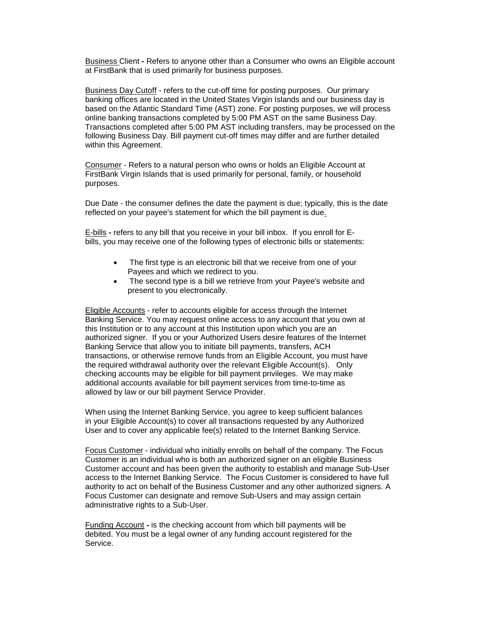Business Client **-** Refers to anyone other than a Consumer who owns an Eligible account at FirstBank that is used primarily for business purposes.

Business Day Cutoff - refers to the cut-off time for posting purposes. Our primary banking offices are located in the United States Virgin Islands and our business day is based on the Atlantic Standard Time (AST) zone. For posting purposes, we will process online banking transactions completed by 5:00 PM AST on the same Business Day. Transactions completed after 5:00 PM AST including transfers, may be processed on the following Business Day. Bill payment cut-off times may differ and are further detailed within this Agreement.

Consumer *-* Refers to a natural person who owns or holds an Eligible Account at FirstBank Virgin Islands that is used primarily for personal, family, or household purposes.

Due Date - the consumer defines the date the payment is due; typically, this is the date reflected on your payee's statement for which the bill payment is due.

E-bills **-** refers to any bill that you receive in your bill inbox. If you enroll for Ebills, you may receive one of the following types of electronic bills or statements:

- The first type is an electronic bill that we receive from one of your Payees and which we redirect to you.
- The second type is a bill we retrieve from your Payee's website and present to you electronically.

Eligible Accounts - refer to accounts eligible for access through the Internet Banking Service. You may request online access to any account that you own at this Institution or to any account at this Institution upon which you are an authorized signer. If you or your Authorized Users desire features of the Internet Banking Service that allow you to initiate bill payments, transfers, ACH transactions, or otherwise remove funds from an Eligible Account, you must have the required withdrawal authority over the relevant Eligible Account(s). Only checking accounts may be eligible for bill payment privileges. We may make additional accounts available for bill payment services from time-to-time as allowed by law or our bill payment Service Provider.

When using the Internet Banking Service, you agree to keep sufficient balances in your Eligible Account(s) to cover all transactions requested by any Authorized User and to cover any applicable fee(s) related to the Internet Banking Service.

Focus Customer - individual who initially enrolls on behalf of the company. The Focus Customer is an individual who is both an authorized signer on an eligible Business Customer account and has been given the authority to establish and manage Sub-User access to the Internet Banking Service. The Focus Customer is considered to have full authority to act on behalf of the Business Customer and any other authorized signers. A Focus Customer can designate and remove Sub-Users and may assign certain administrative rights to a Sub-User.

Funding Account **-** is the checking account from which bill payments will be debited. You must be a legal owner of any funding account registered for the Service.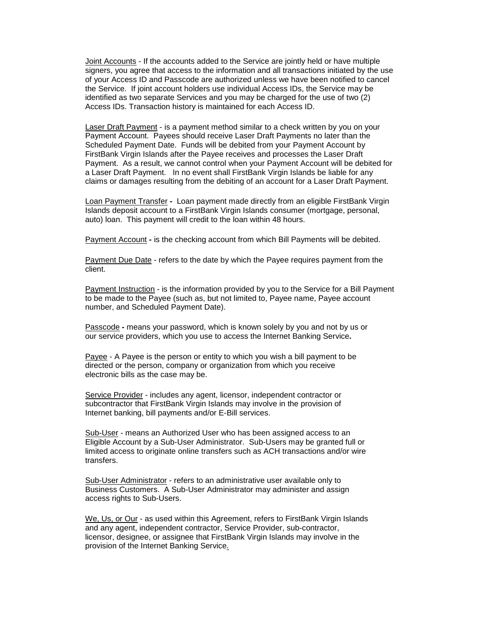Joint Accounts - If the accounts added to the Service are jointly held or have multiple signers, you agree that access to the information and all transactions initiated by the use of your Access ID and Passcode are authorized unless we have been notified to cancel the Service. If joint account holders use individual Access IDs, the Service may be identified as two separate Services and you may be charged for the use of two (2) Access IDs. Transaction history is maintained for each Access ID.

Laser Draft Payment - is a payment method similar to a check written by you on your Payment Account. Payees should receive Laser Draft Payments no later than the Scheduled Payment Date. Funds will be debited from your Payment Account by FirstBank Virgin Islands after the Payee receives and processes the Laser Draft Payment. As a result, we cannot control when your Payment Account will be debited for a Laser Draft Payment. In no event shall FirstBank Virgin Islands be liable for any claims or damages resulting from the debiting of an account for a Laser Draft Payment.

Loan Payment Transfer **-** Loan payment made directly from an eligible FirstBank Virgin Islands deposit account to a FirstBank Virgin Islands consumer (mortgage, personal, auto) loan. This payment will credit to the loan within 48 hours.

Payment Account **-** is the checking account from which Bill Payments will be debited.

Payment Due Date - refers to the date by which the Payee requires payment from the client.

Payment Instruction - is the information provided by you to the Service for a Bill Payment to be made to the Payee (such as, but not limited to, Payee name, Payee account number, and Scheduled Payment Date).

Passcode **-** means your password, which is known solely by you and not by us or our service providers, which you use to access the Internet Banking Service**.** 

Payee - A Payee is the person or entity to which you wish a bill payment to be directed or the person, company or organization from which you receive electronic bills as the case may be.

Service Provider - includes any agent, licensor, independent contractor or subcontractor that FirstBank Virgin Islands may involve in the provision of Internet banking, bill payments and/or E-Bill services.

Sub-User - means an Authorized User who has been assigned access to an Eligible Account by a Sub-User Administrator. Sub-Users may be granted full or limited access to originate online transfers such as ACH transactions and/or wire transfers.

Sub-User Administrator - refers to an administrative user available only to Business Customers. A Sub-User Administrator may administer and assign access rights to Sub-Users.

We, Us, or Our - as used within this Agreement, refers to FirstBank Virgin Islands and any agent, independent contractor, Service Provider, sub-contractor, licensor, designee, or assignee that FirstBank Virgin Islands may involve in the provision of the Internet Banking Service.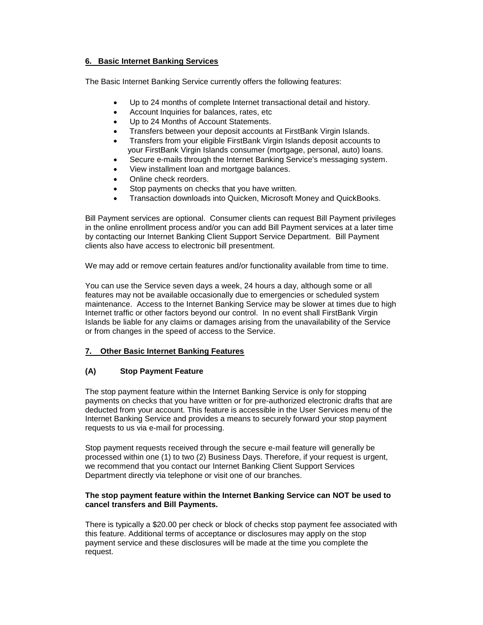# <span id="page-7-0"></span>**6. Basic Internet Banking Services**

The Basic Internet Banking Service currently offers the following features:

- Up to 24 months of complete Internet transactional detail and history.
- Account Inquiries for balances, rates, etc
- Up to 24 Months of Account Statements.
- Transfers between your deposit accounts at FirstBank Virgin Islands.
- Transfers from your eligible FirstBank Virgin Islands deposit accounts to your FirstBank Virgin Islands consumer (mortgage, personal, auto) loans.
- Secure e-mails through the Internet Banking Service's messaging system.
- View installment loan and mortgage balances.
- Online check reorders.
- Stop payments on checks that you have written.
- Transaction downloads into Quicken, Microsoft Money and QuickBooks.

Bill Payment services are optional. Consumer clients can request Bill Payment privileges in the online enrollment process and/or you can add Bill Payment services at a later time by contacting our Internet Banking Client Support Service Department. Bill Payment clients also have access to electronic bill presentment.

We may add or remove certain features and/or functionality available from time to time.

You can use the Service seven days a week, 24 hours a day, although some or all features may not be available occasionally due to emergencies or scheduled system maintenance. Access to the Internet Banking Service may be slower at times due to high Internet traffic or other factors beyond our control. In no event shall FirstBank Virgin Islands be liable for any claims or damages arising from the unavailability of the Service or from changes in the speed of access to the Service.

# <span id="page-7-1"></span>**7. Other Basic Internet Banking Features**

# **(A) Stop Payment Feature**

The stop payment feature within the Internet Banking Service is only for stopping payments on checks that you have written or for pre-authorized electronic drafts that are deducted from your account. This feature is accessible in the User Services menu of the Internet Banking Service and provides a means to securely forward your stop payment requests to us via e-mail for processing.

Stop payment requests received through the secure e-mail feature will generally be processed within one (1) to two (2) Business Days. Therefore, if your request is urgent, we recommend that you contact our Internet Banking Client Support Services Department directly via telephone or visit one of our branches.

# **The stop payment feature within the Internet Banking Service can NOT be used to cancel transfers and Bill Payments.**

There is typically a \$20.00 per check or block of checks stop payment fee associated with this feature. Additional terms of acceptance or disclosures may apply on the stop payment service and these disclosures will be made at the time you complete the request.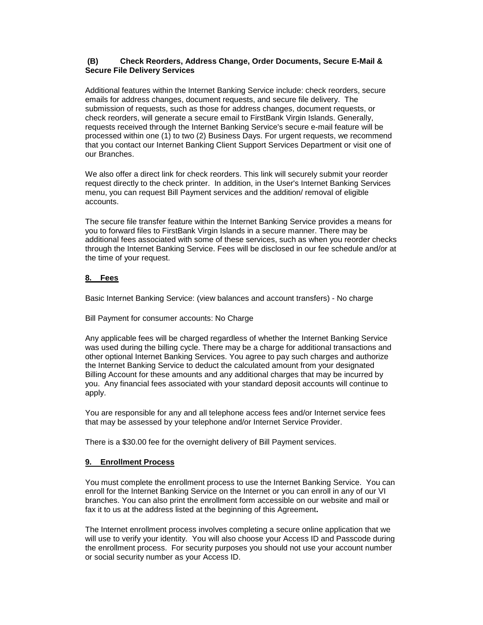# **(B) Check Reorders, Address Change, Order Documents, Secure E-Mail & Secure File Delivery Services**

Additional features within the Internet Banking Service include: check reorders, secure emails for address changes, document requests, and secure file delivery. The submission of requests, such as those for address changes, document requests, or check reorders, will generate a secure email to FirstBank Virgin Islands. Generally, requests received through the Internet Banking Service's secure e-mail feature will be processed within one (1) to two (2) Business Days. For urgent requests, we recommend that you contact our Internet Banking Client Support Services Department or visit one of our Branches.

We also offer a direct link for check reorders. This link will securely submit your reorder request directly to the check printer. In addition, in the User's Internet Banking Services menu, you can request Bill Payment services and the addition/ removal of eligible accounts.

The secure file transfer feature within the Internet Banking Service provides a means for you to forward files to FirstBank Virgin Islands in a secure manner. There may be additional fees associated with some of these services, such as when you reorder checks through the Internet Banking Service. Fees will be disclosed in our fee schedule and/or at the time of your request.

# <span id="page-8-0"></span>**8. Fees**

Basic Internet Banking Service: (view balances and account transfers) - No charge

Bill Payment for consumer accounts: No Charge

Any applicable fees will be charged regardless of whether the Internet Banking Service was used during the billing cycle. There may be a charge for additional transactions and other optional Internet Banking Services. You agree to pay such charges and authorize the Internet Banking Service to deduct the calculated amount from your designated Billing Account for these amounts and any additional charges that may be incurred by you. Any financial fees associated with your standard deposit accounts will continue to apply.

You are responsible for any and all telephone access fees and/or Internet service fees that may be assessed by your telephone and/or Internet Service Provider.

There is a \$30.00 fee for the overnight delivery of Bill Payment services.

# <span id="page-8-1"></span>**9. Enrollment Process**

You must complete the enrollment process to use the Internet Banking Service. You can enroll for the Internet Banking Service on the Internet or you can enroll in any of our VI branches. You can also print the enrollment form accessible on our website and mail or fax it to us at the address listed at the beginning of this Agreement**.** 

The Internet enrollment process involves completing a secure online application that we will use to verify your identity. You will also choose your Access ID and Passcode during the enrollment process. For security purposes you should not use your account number or social security number as your Access ID.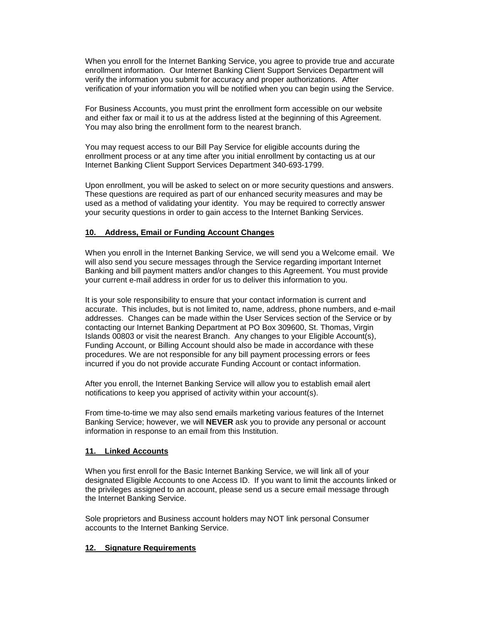When you enroll for the Internet Banking Service, you agree to provide true and accurate enrollment information. Our Internet Banking Client Support Services Department will verify the information you submit for accuracy and proper authorizations. After verification of your information you will be notified when you can begin using the Service.

For Business Accounts, you must print the enrollment form accessible on our website and either fax or mail it to us at the address listed at the beginning of this Agreement. You may also bring the enrollment form to the nearest branch.

You may request access to our Bill Pay Service for eligible accounts during the enrollment process or at any time after you initial enrollment by contacting us at our Internet Banking Client Support Services Department 340-693-1799.

Upon enrollment, you will be asked to select on or more security questions and answers. These questions are required as part of our enhanced security measures and may be used as a method of validating your identity. You may be required to correctly answer your security questions in order to gain access to the Internet Banking Services.

# <span id="page-9-0"></span>**10. Address, Email or Funding Account Changes**

When you enroll in the Internet Banking Service, we will send you a Welcome email. We will also send you secure messages through the Service regarding important Internet Banking and bill payment matters and/or changes to this Agreement. You must provide your current e-mail address in order for us to deliver this information to you.

It is your sole responsibility to ensure that your contact information is current and accurate. This includes, but is not limited to, name, address, phone numbers, and e-mail addresses. Changes can be made within the User Services section of the Service or by contacting our Internet Banking Department at PO Box 309600, St. Thomas, Virgin Islands 00803 or visit the nearest Branch. Any changes to your Eligible Account(s), Funding Account, or Billing Account should also be made in accordance with these procedures. We are not responsible for any bill payment processing errors or fees incurred if you do not provide accurate Funding Account or contact information.

After you enroll, the Internet Banking Service will allow you to establish email alert notifications to keep you apprised of activity within your account(s).

From time-to-time we may also send emails marketing various features of the Internet Banking Service; however, we will **NEVER** ask you to provide any personal or account information in response to an email from this Institution.

#### <span id="page-9-1"></span>**11. Linked Accounts**

When you first enroll for the Basic Internet Banking Service, we will link all of your designated Eligible Accounts to one Access ID. If you want to limit the accounts linked or the privileges assigned to an account, please send us a secure email message through the Internet Banking Service.

Sole proprietors and Business account holders may NOT link personal Consumer accounts to the Internet Banking Service.

#### <span id="page-9-2"></span>**12. Signature Requirements**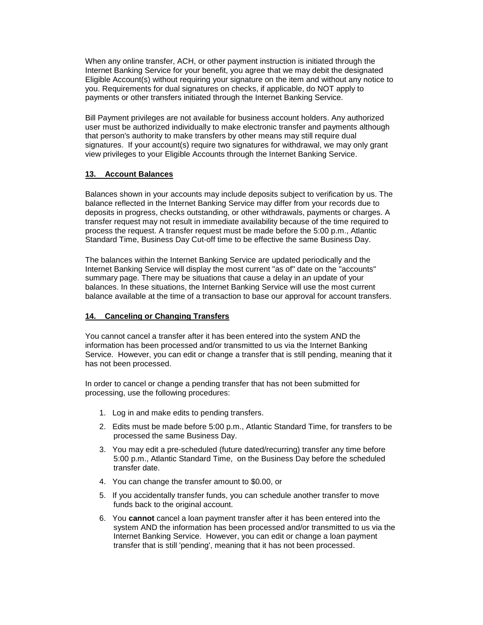When any online transfer, ACH, or other payment instruction is initiated through the Internet Banking Service for your benefit, you agree that we may debit the designated Eligible Account(s) without requiring your signature on the item and without any notice to you. Requirements for dual signatures on checks, if applicable, do NOT apply to payments or other transfers initiated through the Internet Banking Service.

Bill Payment privileges are not available for business account holders. Any authorized user must be authorized individually to make electronic transfer and payments although that person's authority to make transfers by other means may still require dual signatures. If your account(s) require two signatures for withdrawal, we may only grant view privileges to your Eligible Accounts through the Internet Banking Service.

### <span id="page-10-0"></span>**13. Account Balances**

Balances shown in your accounts may include deposits subject to verification by us. The balance reflected in the Internet Banking Service may differ from your records due to deposits in progress, checks outstanding, or other withdrawals, payments or charges. A transfer request may not result in immediate availability because of the time required to process the request. A transfer request must be made before the 5:00 p.m., Atlantic Standard Time, Business Day Cut-off time to be effective the same Business Day.

The balances within the Internet Banking Service are updated periodically and the Internet Banking Service will display the most current "as of" date on the "accounts" summary page. There may be situations that cause a delay in an update of your balances. In these situations, the Internet Banking Service will use the most current balance available at the time of a transaction to base our approval for account transfers.

### <span id="page-10-1"></span>**14. Canceling or Changing Transfers**

You cannot cancel a transfer after it has been entered into the system AND the information has been processed and/or transmitted to us via the Internet Banking Service. However, you can edit or change a transfer that is still pending, meaning that it has not been processed.

In order to cancel or change a pending transfer that has not been submitted for processing, use the following procedures:

- 1. Log in and make edits to pending transfers.
- 2. Edits must be made before 5:00 p.m., Atlantic Standard Time, for transfers to be processed the same Business Day.
- 3. You may edit a pre-scheduled (future dated/recurring) transfer any time before 5:00 p.m., Atlantic Standard Time, on the Business Day before the scheduled transfer date.
- 4. You can change the transfer amount to \$0.00, or
- 5. If you accidentally transfer funds, you can schedule another transfer to move funds back to the original account.
- 6. You **cannot** cancel a loan payment transfer after it has been entered into the system AND the information has been processed and/or transmitted to us via the Internet Banking Service. However, you can edit or change a loan payment transfer that is still 'pending', meaning that it has not been processed.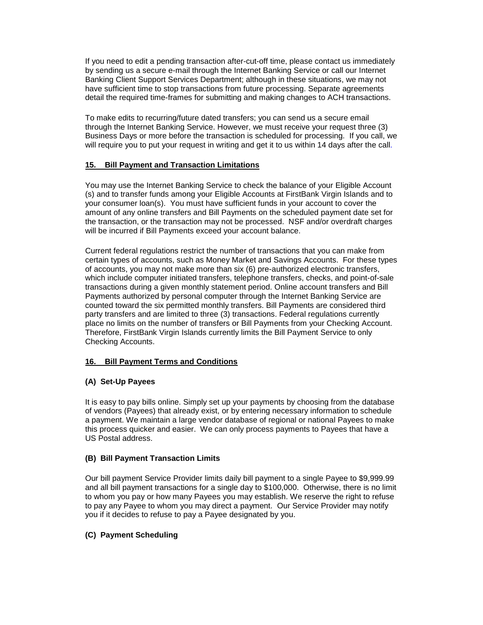If you need to edit a pending transaction after-cut-off time, please contact us immediately by sending us a secure e-mail through the Internet Banking Service or call our Internet Banking Client Support Services Department; although in these situations, we may not have sufficient time to stop transactions from future processing. Separate agreements detail the required time-frames for submitting and making changes to ACH transactions.

To make edits to recurring/future dated transfers; you can send us a secure email through the Internet Banking Service. However, we must receive your request three (3) Business Days or more before the transaction is scheduled for processing. If you call, we will require you to put your request in writing and get it to us within 14 days after the call.

# <span id="page-11-0"></span>**15. Bill Payment and Transaction Limitations**

You may use the Internet Banking Service to check the balance of your Eligible Account (s) and to transfer funds among your Eligible Accounts at FirstBank Virgin Islands and to your consumer loan(s). You must have sufficient funds in your account to cover the amount of any online transfers and Bill Payments on the scheduled payment date set for the transaction, or the transaction may not be processed. NSF and/or overdraft charges will be incurred if Bill Payments exceed your account balance.

Current federal regulations restrict the number of transactions that you can make from certain types of accounts, such as Money Market and Savings Accounts. For these types of accounts, you may not make more than six (6) pre-authorized electronic transfers, which include computer initiated transfers, telephone transfers, checks, and point-of-sale transactions during a given monthly statement period. Online account transfers and Bill Payments authorized by personal computer through the Internet Banking Service are counted toward the six permitted monthly transfers. Bill Payments are considered third party transfers and are limited to three (3) transactions. Federal regulations currently place no limits on the number of transfers or Bill Payments from your Checking Account. Therefore, FirstBank Virgin Islands currently limits the Bill Payment Service to only Checking Accounts.

#### <span id="page-11-1"></span>**16. Bill Payment Terms and Conditions**

# **(A) Set-Up Payees**

It is easy to pay bills online. Simply set up your payments by choosing from the database of vendors (Payees) that already exist, or by entering necessary information to schedule a payment. We maintain a large vendor database of regional or national Payees to make this process quicker and easier. We can only process payments to Payees that have a US Postal address.

#### **(B) Bill Payment Transaction Limits**

Our bill payment Service Provider limits daily bill payment to a single Payee to \$9,999.99 and all bill payment transactions for a single day to \$100,000. Otherwise, there is no limit to whom you pay or how many Payees you may establish. We reserve the right to refuse to pay any Payee to whom you may direct a payment. Our Service Provider may notify you if it decides to refuse to pay a Payee designated by you.

#### **(C) Payment Scheduling**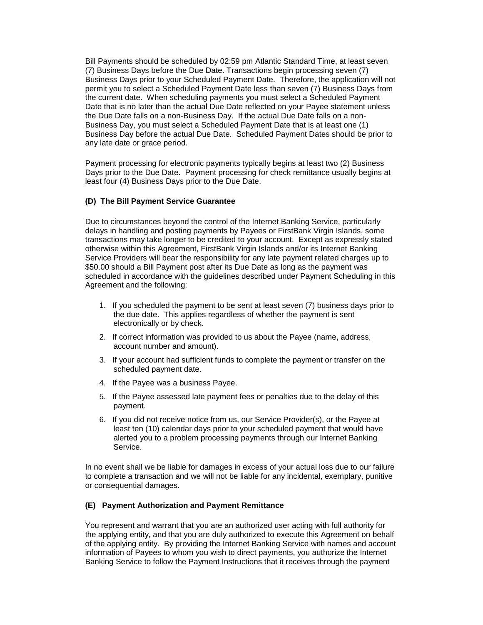Bill Payments should be scheduled by 02:59 pm Atlantic Standard Time, at least seven (7) Business Days before the Due Date. Transactions begin processing seven (7) Business Days prior to your Scheduled Payment Date. Therefore, the application will not permit you to select a Scheduled Payment Date less than seven (7) Business Days from the current date. When scheduling payments you must select a Scheduled Payment Date that is no later than the actual Due Date reflected on your Payee statement unless the Due Date falls on a non-Business Day. If the actual Due Date falls on a non-Business Day, you must select a Scheduled Payment Date that is at least one (1) Business Day before the actual Due Date. Scheduled Payment Dates should be prior to any late date or grace period.

Payment processing for electronic payments typically begins at least two (2) Business Days prior to the Due Date. Payment processing for check remittance usually begins at least four (4) Business Days prior to the Due Date.

#### **(D) The Bill Payment Service Guarantee**

Due to circumstances beyond the control of the Internet Banking Service, particularly delays in handling and posting payments by Payees or FirstBank Virgin Islands, some transactions may take longer to be credited to your account. Except as expressly stated otherwise within this Agreement, FirstBank Virgin Islands and/or its Internet Banking Service Providers will bear the responsibility for any late payment related charges up to \$50.00 should a Bill Payment post after its Due Date as long as the payment was scheduled in accordance with the guidelines described under Payment Scheduling in this Agreement and the following:

- 1. If you scheduled the payment to be sent at least seven (7) business days prior to the due date. This applies regardless of whether the payment is sent electronically or by check.
- 2. If correct information was provided to us about the Payee (name, address, account number and amount).
- 3. If your account had sufficient funds to complete the payment or transfer on the scheduled payment date.
- 4. If the Payee was a business Payee.
- 5. If the Payee assessed late payment fees or penalties due to the delay of this payment.
- 6. If you did not receive notice from us, our Service Provider(s), or the Payee at least ten (10) calendar days prior to your scheduled payment that would have alerted you to a problem processing payments through our Internet Banking Service.

In no event shall we be liable for damages in excess of your actual loss due to our failure to complete a transaction and we will not be liable for any incidental, exemplary, punitive or consequential damages.

#### **(E) Payment Authorization and Payment Remittance**

You represent and warrant that you are an authorized user acting with full authority for the applying entity, and that you are duly authorized to execute this Agreement on behalf of the applying entity. By providing the Internet Banking Service with names and account information of Payees to whom you wish to direct payments, you authorize the Internet Banking Service to follow the Payment Instructions that it receives through the payment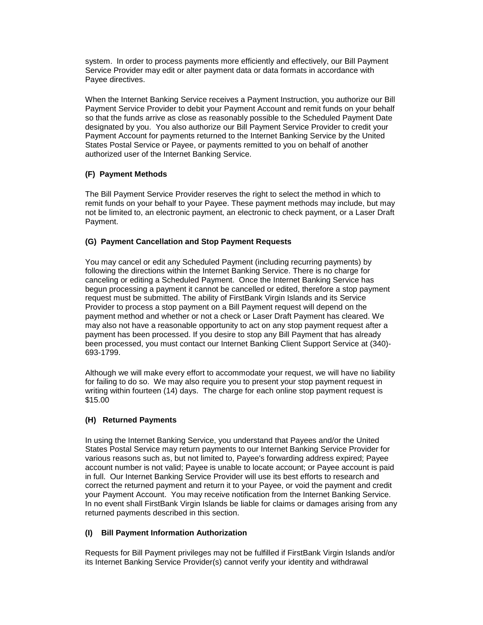system. In order to process payments more efficiently and effectively, our Bill Payment Service Provider may edit or alter payment data or data formats in accordance with Payee directives.

When the Internet Banking Service receives a Payment Instruction, you authorize our Bill Payment Service Provider to debit your Payment Account and remit funds on your behalf so that the funds arrive as close as reasonably possible to the Scheduled Payment Date designated by you. You also authorize our Bill Payment Service Provider to credit your Payment Account for payments returned to the Internet Banking Service by the United States Postal Service or Payee, or payments remitted to you on behalf of another authorized user of the Internet Banking Service.

# **(F) Payment Methods**

The Bill Payment Service Provider reserves the right to select the method in which to remit funds on your behalf to your Payee. These payment methods may include, but may not be limited to, an electronic payment, an electronic to check payment, or a Laser Draft Payment.

### **(G) Payment Cancellation and Stop Payment Requests**

You may cancel or edit any Scheduled Payment (including recurring payments) by following the directions within the Internet Banking Service. There is no charge for canceling or editing a Scheduled Payment. Once the Internet Banking Service has begun processing a payment it cannot be cancelled or edited, therefore a stop payment request must be submitted. The ability of FirstBank Virgin Islands and its Service Provider to process a stop payment on a Bill Payment request will depend on the payment method and whether or not a check or Laser Draft Payment has cleared. We may also not have a reasonable opportunity to act on any stop payment request after a payment has been processed. If you desire to stop any Bill Payment that has already been processed, you must contact our Internet Banking Client Support Service at (340)- 693-1799.

Although we will make every effort to accommodate your request, we will have no liability for failing to do so. We may also require you to present your stop payment request in writing within fourteen (14) days. The charge for each online stop payment request is \$15.00

#### **(H) Returned Payments**

In using the Internet Banking Service, you understand that Payees and/or the United States Postal Service may return payments to our Internet Banking Service Provider for various reasons such as, but not limited to, Payee's forwarding address expired; Payee account number is not valid; Payee is unable to locate account; or Payee account is paid in full. Our Internet Banking Service Provider will use its best efforts to research and correct the returned payment and return it to your Payee, or void the payment and credit your Payment Account. You may receive notification from the Internet Banking Service. In no event shall FirstBank Virgin Islands be liable for claims or damages arising from any returned payments described in this section.

#### **(I) Bill Payment Information Authorization**

Requests for Bill Payment privileges may not be fulfilled if FirstBank Virgin Islands and/or its Internet Banking Service Provider(s) cannot verify your identity and withdrawal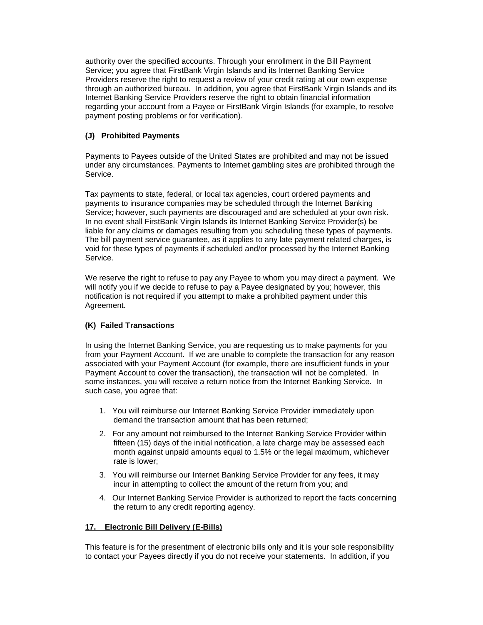authority over the specified accounts. Through your enrollment in the Bill Payment Service; you agree that FirstBank Virgin Islands and its Internet Banking Service Providers reserve the right to request a review of your credit rating at our own expense through an authorized bureau. In addition, you agree that FirstBank Virgin Islands and its Internet Banking Service Providers reserve the right to obtain financial information regarding your account from a Payee or FirstBank Virgin Islands (for example, to resolve payment posting problems or for verification).

# **(J) Prohibited Payments**

Payments to Payees outside of the United States are prohibited and may not be issued under any circumstances. Payments to Internet gambling sites are prohibited through the Service.

Tax payments to state, federal, or local tax agencies, court ordered payments and payments to insurance companies may be scheduled through the Internet Banking Service; however, such payments are discouraged and are scheduled at your own risk. In no event shall FirstBank Virgin Islands its Internet Banking Service Provider(s) be liable for any claims or damages resulting from you scheduling these types of payments. The bill payment service guarantee, as it applies to any late payment related charges, is void for these types of payments if scheduled and/or processed by the Internet Banking Service.

We reserve the right to refuse to pay any Payee to whom you may direct a payment. We will notify you if we decide to refuse to pay a Payee designated by you; however, this notification is not required if you attempt to make a prohibited payment under this Agreement.

# **(K) Failed Transactions**

In using the Internet Banking Service, you are requesting us to make payments for you from your Payment Account. If we are unable to complete the transaction for any reason associated with your Payment Account (for example, there are insufficient funds in your Payment Account to cover the transaction), the transaction will not be completed. In some instances, you will receive a return notice from the Internet Banking Service. In such case, you agree that:

- 1. You will reimburse our Internet Banking Service Provider immediately upon demand the transaction amount that has been returned;
- 2. For any amount not reimbursed to the Internet Banking Service Provider within fifteen (15) days of the initial notification, a late charge may be assessed each month against unpaid amounts equal to 1.5% or the legal maximum, whichever rate is lower;
- 3. You will reimburse our Internet Banking Service Provider for any fees, it may incur in attempting to collect the amount of the return from you; and
- 4. Our Internet Banking Service Provider is authorized to report the facts concerning the return to any credit reporting agency.

# <span id="page-14-0"></span>**17. Electronic Bill Delivery (E-Bills)**

This feature is for the presentment of electronic bills only and it is your sole responsibility to contact your Payees directly if you do not receive your statements. In addition, if you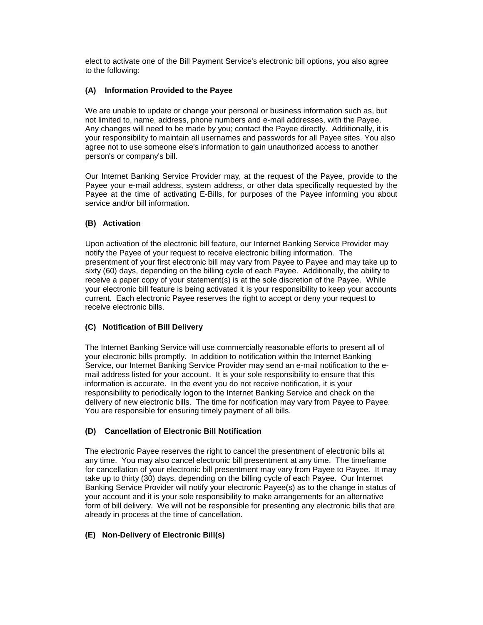elect to activate one of the Bill Payment Service's electronic bill options, you also agree to the following:

# **(A) Information Provided to the Payee**

We are unable to update or change your personal or business information such as, but not limited to, name, address, phone numbers and e-mail addresses, with the Payee. Any changes will need to be made by you; contact the Payee directly. Additionally, it is your responsibility to maintain all usernames and passwords for all Payee sites. You also agree not to use someone else's information to gain unauthorized access to another person's or company's bill.

Our Internet Banking Service Provider may, at the request of the Payee, provide to the Payee your e-mail address, system address, or other data specifically requested by the Payee at the time of activating E-Bills, for purposes of the Payee informing you about service and/or bill information.

# **(B) Activation**

Upon activation of the electronic bill feature, our Internet Banking Service Provider may notify the Payee of your request to receive electronic billing information. The presentment of your first electronic bill may vary from Payee to Payee and may take up to sixty (60) days, depending on the billing cycle of each Payee. Additionally, the ability to receive a paper copy of your statement(s) is at the sole discretion of the Payee. While your electronic bill feature is being activated it is your responsibility to keep your accounts current. Each electronic Payee reserves the right to accept or deny your request to receive electronic bills.

# **(C) Notification of Bill Delivery**

The Internet Banking Service will use commercially reasonable efforts to present all of your electronic bills promptly. In addition to notification within the Internet Banking Service, our Internet Banking Service Provider may send an e-mail notification to the email address listed for your account. It is your sole responsibility to ensure that this information is accurate. In the event you do not receive notification, it is your responsibility to periodically logon to the Internet Banking Service and check on the delivery of new electronic bills. The time for notification may vary from Payee to Payee. You are responsible for ensuring timely payment of all bills.

# **(D) Cancellation of Electronic Bill Notification**

The electronic Payee reserves the right to cancel the presentment of electronic bills at any time. You may also cancel electronic bill presentment at any time. The timeframe for cancellation of your electronic bill presentment may vary from Payee to Payee. It may take up to thirty (30) days, depending on the billing cycle of each Payee. Our Internet Banking Service Provider will notify your electronic Payee(s) as to the change in status of your account and it is your sole responsibility to make arrangements for an alternative form of bill delivery. We will not be responsible for presenting any electronic bills that are already in process at the time of cancellation.

# **(E) Non-Delivery of Electronic Bill(s)**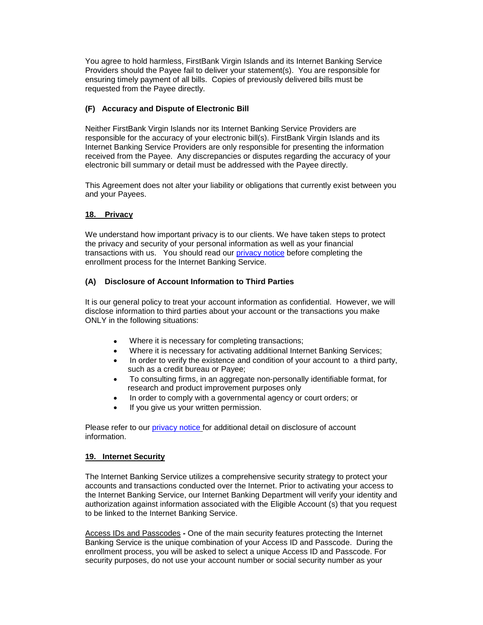You agree to hold harmless, FirstBank Virgin Islands and its Internet Banking Service Providers should the Payee fail to deliver your statement(s). You are responsible for ensuring timely payment of all bills. Copies of previously delivered bills must be requested from the Payee directly.

# **(F) Accuracy and Dispute of Electronic Bill**

Neither FirstBank Virgin Islands nor its Internet Banking Service Providers are responsible for the accuracy of your electronic bill(s). FirstBank Virgin Islands and its Internet Banking Service Providers are only responsible for presenting the information received from the Payee. Any discrepancies or disputes regarding the accuracy of your electronic bill summary or detail must be addressed with the Payee directly.

This Agreement does not alter your liability or obligations that currently exist between you and your Payees.

# <span id="page-16-0"></span>**18. Privacy**

We understand how important privacy is to our clients. We have taken steps to protect the privacy and security of your personal information as well as your financial transactions with us. You should read our [privacy notice](http://www.firstbankvi.com/files/FirstBank_Privacy_Policy.pdf) before completing the enrollment process for the Internet Banking Service.

# **(A) Disclosure of Account Information to Third Parties**

It is our general policy to treat your account information as confidential. However, we will disclose information to third parties about your account or the transactions you make ONLY in the following situations:

- Where it is necessary for completing transactions;
- Where it is necessary for activating additional Internet Banking Services;
- In order to verify the existence and condition of your account to a third party, such as a credit bureau or Payee;
- To consulting firms, in an aggregate non-personally identifiable format, for research and product improvement purposes only
- In order to comply with a governmental agency or court orders; or
- If you give us your written permission.

Please refer to our [privacy notice](http://www.firstbankvi.com/files/FirstBank_Privacy_Policy.pdf) for additional detail on disclosure of account information.

# <span id="page-16-1"></span>**19. Internet Security**

The Internet Banking Service utilizes a comprehensive security strategy to protect your accounts and transactions conducted over the Internet. Prior to activating your access to the Internet Banking Service, our Internet Banking Department will verify your identity and authorization against information associated with the Eligible Account (s) that you request to be linked to the Internet Banking Service.

Access IDs and Passcodes *-* One of the main security features protecting the Internet Banking Service is the unique combination of your Access ID and Passcode. During the enrollment process, you will be asked to select a unique Access ID and Passcode. For security purposes, do not use your account number or social security number as your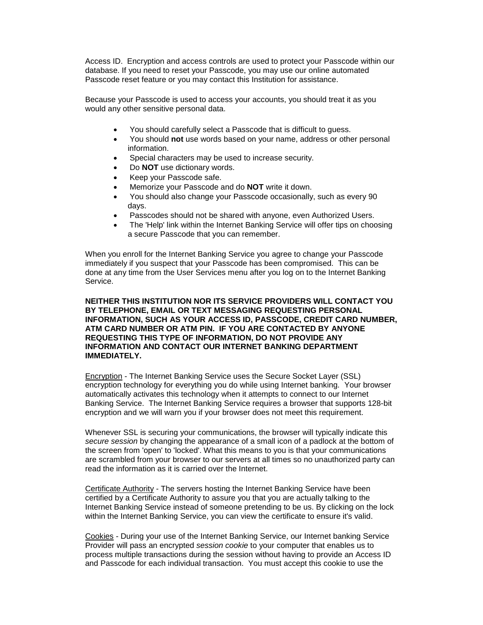Access ID. Encryption and access controls are used to protect your Passcode within our database. If you need to reset your Passcode, you may use our online automated Passcode reset feature or you may contact this Institution for assistance.

Because your Passcode is used to access your accounts, you should treat it as you would any other sensitive personal data.

- You should carefully select a Passcode that is difficult to guess.
- You should **not** use words based on your name, address or other personal information.
- Special characters may be used to increase security.
- Do **NOT** use dictionary words.
- Keep your Passcode safe.
- Memorize your Passcode and do **NOT** write it down.
- You should also change your Passcode occasionally, such as every 90 days.
- Passcodes should not be shared with anyone, even Authorized Users.
- The 'Help' link within the Internet Banking Service will offer tips on choosing a secure Passcode that you can remember.

When you enroll for the Internet Banking Service you agree to change your Passcode immediately if you suspect that your Passcode has been compromised. This can be done at any time from the User Services menu after you log on to the Internet Banking Service.

#### **NEITHER THIS INSTITUTION NOR ITS SERVICE PROVIDERS WILL CONTACT YOU BY TELEPHONE, EMAIL OR TEXT MESSAGING REQUESTING PERSONAL INFORMATION, SUCH AS YOUR ACCESS ID, PASSCODE, CREDIT CARD NUMBER, ATM CARD NUMBER OR ATM PIN. IF YOU ARE CONTACTED BY ANYONE REQUESTING THIS TYPE OF INFORMATION, DO NOT PROVIDE ANY INFORMATION AND CONTACT OUR INTERNET BANKING DEPARTMENT IMMEDIATELY.**

Encryption - The Internet Banking Service uses the Secure Socket Layer (SSL) encryption technology for everything you do while using Internet banking. Your browser automatically activates this technology when it attempts to connect to our Internet Banking Service. The Internet Banking Service requires a browser that supports 128-bit encryption and we will warn you if your browser does not meet this requirement.

Whenever SSL is securing your communications, the browser will typically indicate this *secure session* by changing the appearance of a small icon of a padlock at the bottom of the screen from 'open' to 'locked'. What this means to you is that your communications are scrambled from your browser to our servers at all times so no unauthorized party can read the information as it is carried over the Internet.

Certificate Authority - The servers hosting the Internet Banking Service have been certified by a Certificate Authority to assure you that you are actually talking to the Internet Banking Service instead of someone pretending to be us. By clicking on the lock within the Internet Banking Service, you can view the certificate to ensure it's valid.

Cookies *-* During your use of the Internet Banking Service, our Internet banking Service Provider will pass an encrypted *session cookie* to your computer that enables us to process multiple transactions during the session without having to provide an Access ID and Passcode for each individual transaction. You must accept this cookie to use the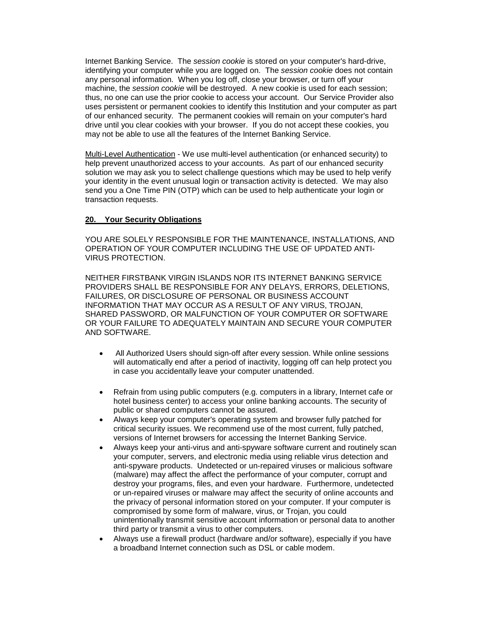Internet Banking Service. The *session cookie* is stored on your computer's hard-drive, identifying your computer while you are logged on. The *session cookie* does not contain any personal information. When you log off, close your browser, or turn off your machine, the *session cookie* will be destroyed. A new cookie is used for each session; thus, no one can use the prior cookie to access your account. Our Service Provider also uses persistent or permanent cookies to identify this Institution and your computer as part of our enhanced security. The permanent cookies will remain on your computer's hard drive until you clear cookies with your browser. If you do not accept these cookies, you may not be able to use all the features of the Internet Banking Service.

Multi-Level Authentication - We use multi-level authentication (or enhanced security) to help prevent unauthorized access to your accounts. As part of our enhanced security solution we may ask you to select challenge questions which may be used to help verify your identity in the event unusual login or transaction activity is detected. We may also send you a One Time PIN (OTP) which can be used to help authenticate your login or transaction requests.

### <span id="page-18-0"></span>**20. Your Security Obligations**

YOU ARE SOLELY RESPONSIBLE FOR THE MAINTENANCE, INSTALLATIONS, AND OPERATION OF YOUR COMPUTER INCLUDING THE USE OF UPDATED ANTI-VIRUS PROTECTION.

NEITHER FIRSTBANK VIRGIN ISLANDS NOR ITS INTERNET BANKING SERVICE PROVIDERS SHALL BE RESPONSIBLE FOR ANY DELAYS, ERRORS, DELETIONS, FAILURES, OR DISCLOSURE OF PERSONAL OR BUSINESS ACCOUNT INFORMATION THAT MAY OCCUR AS A RESULT OF ANY VIRUS, TROJAN, SHARED PASSWORD, OR MALFUNCTION OF YOUR COMPUTER OR SOFTWARE OR YOUR FAILURE TO ADEQUATELY MAINTAIN AND SECURE YOUR COMPUTER AND SOFTWARE.

- All Authorized Users should sign-off after every session. While online sessions will automatically end after a period of inactivity, logging off can help protect you in case you accidentally leave your computer unattended.
- Refrain from using public computers (e.g. computers in a library, Internet cafe or hotel business center) to access your online banking accounts. The security of public or shared computers cannot be assured.
- Always keep your computer's operating system and browser fully patched for critical security issues. We recommend use of the most current, fully patched, versions of Internet browsers for accessing the Internet Banking Service.
- Always keep your anti-virus and anti-spyware software current and routinely scan your computer, servers, and electronic media using reliable virus detection and anti-spyware products. Undetected or un-repaired viruses or malicious software (malware) may affect the affect the performance of your computer, corrupt and destroy your programs, files, and even your hardware. Furthermore, undetected or un-repaired viruses or malware may affect the security of online accounts and the privacy of personal information stored on your computer. If your computer is compromised by some form of malware, virus, or Trojan, you could unintentionally transmit sensitive account information or personal data to another third party or transmit a virus to other computers.
- Always use a firewall product (hardware and/or software), especially if you have a broadband Internet connection such as DSL or cable modem.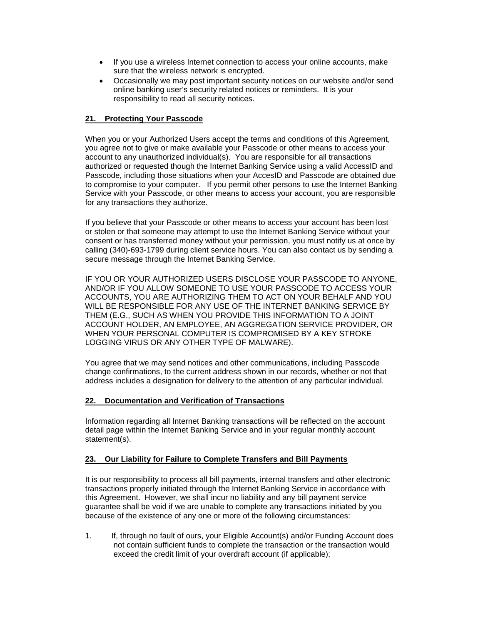- If you use a wireless Internet connection to access your online accounts, make sure that the wireless network is encrypted.
- Occasionally we may post important security notices on our website and/or send online banking user's security related notices or reminders. It is your responsibility to read all security notices.

# <span id="page-19-0"></span>**21. Protecting Your Passcode**

When you or your Authorized Users accept the terms and conditions of this Agreement, you agree not to give or make available your Passcode or other means to access your account to any unauthorized individual(s). You are responsible for all transactions authorized or requested though the Internet Banking Service using a valid AccessID and Passcode, including those situations when your AccesID and Passcode are obtained due to compromise to your computer. If you permit other persons to use the Internet Banking Service with your Passcode, or other means to access your account, you are responsible for any transactions they authorize.

If you believe that your Passcode or other means to access your account has been lost or stolen or that someone may attempt to use the Internet Banking Service without your consent or has transferred money without your permission, you must notify us at once by calling (340)-693-1799 during client service hours. You can also contact us by sending a secure message through the Internet Banking Service.

IF YOU OR YOUR AUTHORIZED USERS DISCLOSE YOUR PASSCODE TO ANYONE, AND/OR IF YOU ALLOW SOMEONE TO USE YOUR PASSCODE TO ACCESS YOUR ACCOUNTS, YOU ARE AUTHORIZING THEM TO ACT ON YOUR BEHALF AND YOU WILL BE RESPONSIBLE FOR ANY USE OF THE INTERNET BANKING SERVICE BY THEM (E.G., SUCH AS WHEN YOU PROVIDE THIS INFORMATION TO A JOINT ACCOUNT HOLDER, AN EMPLOYEE, AN AGGREGATION SERVICE PROVIDER, OR WHEN YOUR PERSONAL COMPUTER IS COMPROMISED BY A KEY STROKE LOGGING VIRUS OR ANY OTHER TYPE OF MALWARE).

You agree that we may send notices and other communications, including Passcode change confirmations, to the current address shown in our records, whether or not that address includes a designation for delivery to the attention of any particular individual.

# <span id="page-19-1"></span>**22. Documentation and Verification of Transactions**

Information regarding all Internet Banking transactions will be reflected on the account detail page within the Internet Banking Service and in your regular monthly account statement(s).

# <span id="page-19-2"></span>**23. Our Liability for Failure to Complete Transfers and Bill Payments**

It is our responsibility to process all bill payments, internal transfers and other electronic transactions properly initiated through the Internet Banking Service in accordance with this Agreement. However, we shall incur no liability and any bill payment service guarantee shall be void if we are unable to complete any transactions initiated by you because of the existence of any one or more of the following circumstances:

1. If, through no fault of ours, your Eligible Account(s) and/or Funding Account does not contain sufficient funds to complete the transaction or the transaction would exceed the credit limit of your overdraft account (if applicable);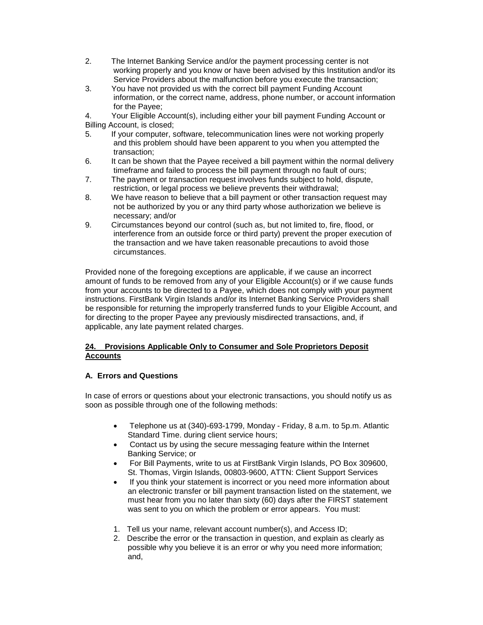- 2. The Internet Banking Service and/or the payment processing center is not working properly and you know or have been advised by this Institution and/or its Service Providers about the malfunction before you execute the transaction;
- 3. You have not provided us with the correct bill payment Funding Account information, or the correct name, address, phone number, or account information for the Payee;

4. Your Eligible Account(s), including either your bill payment Funding Account or Billing Account, is closed;

- 5. If your computer, software, telecommunication lines were not working properly and this problem should have been apparent to you when you attempted the transaction;
- 6. It can be shown that the Payee received a bill payment within the normal delivery timeframe and failed to process the bill payment through no fault of ours;
- 7. The payment or transaction request involves funds subject to hold, dispute, restriction, or legal process we believe prevents their withdrawal;
- 8. We have reason to believe that a bill payment or other transaction request may not be authorized by you or any third party whose authorization we believe is necessary; and/or
- 9. Circumstances beyond our control (such as, but not limited to, fire, flood, or interference from an outside force or third party) prevent the proper execution of the transaction and we have taken reasonable precautions to avoid those circumstances.

Provided none of the foregoing exceptions are applicable, if we cause an incorrect amount of funds to be removed from any of your Eligible Account(s) or if we cause funds from your accounts to be directed to a Payee, which does not comply with your payment instructions. FirstBank Virgin Islands and/or its Internet Banking Service Providers shall be responsible for returning the improperly transferred funds to your Eligible Account, and for directing to the proper Payee any previously misdirected transactions, and, if applicable, any late payment related charges.

# <span id="page-20-0"></span>**24. Provisions Applicable Only to Consumer and Sole Proprietors Deposit Accounts**

# **A. Errors and Questions**

In case of errors or questions about your electronic transactions, you should notify us as soon as possible through one of the following methods:

- Telephone us at (340)-693-1799, Monday Friday, 8 a.m. to 5p.m. Atlantic Standard Time. during client service hours;
- Contact us by using the secure messaging feature within the Internet Banking Service; or
- For Bill Payments, write to us at FirstBank Virgin Islands, PO Box 309600, St. Thomas, Virgin Islands, 00803-9600, ATTN: Client Support Services
- If you think your statement is incorrect or you need more information about an electronic transfer or bill payment transaction listed on the statement, we must hear from you no later than sixty (60) days after the FIRST statement was sent to you on which the problem or error appears. You must:
- 1. Tell us your name, relevant account number(s), and Access ID;
- 2. Describe the error or the transaction in question, and explain as clearly as possible why you believe it is an error or why you need more information; and,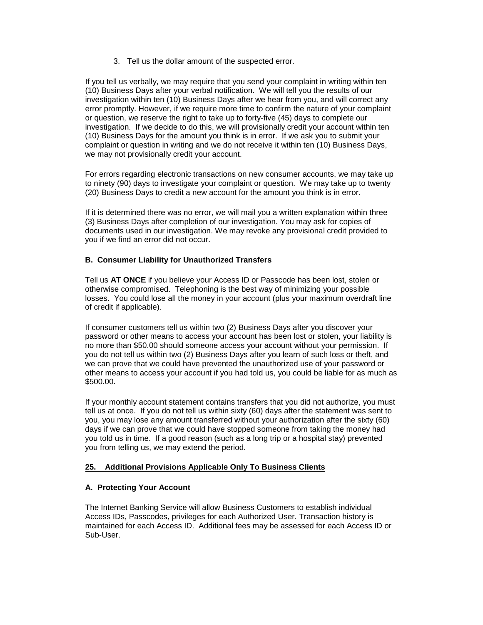3. Tell us the dollar amount of the suspected error.

If you tell us verbally, we may require that you send your complaint in writing within ten (10) Business Days after your verbal notification. We will tell you the results of our investigation within ten (10) Business Days after we hear from you, and will correct any error promptly. However, if we require more time to confirm the nature of your complaint or question, we reserve the right to take up to forty-five (45) days to complete our investigation. If we decide to do this, we will provisionally credit your account within ten (10) Business Days for the amount you think is in error. If we ask you to submit your complaint or question in writing and we do not receive it within ten (10) Business Days, we may not provisionally credit your account.

For errors regarding electronic transactions on new consumer accounts, we may take up to ninety (90) days to investigate your complaint or question. We may take up to twenty (20) Business Days to credit a new account for the amount you think is in error.

If it is determined there was no error, we will mail you a written explanation within three (3) Business Days after completion of our investigation. You may ask for copies of documents used in our investigation. We may revoke any provisional credit provided to you if we find an error did not occur.

### **B. Consumer Liability for Unauthorized Transfers**

Tell us **AT ONCE** if you believe your Access ID or Passcode has been lost, stolen or otherwise compromised. Telephoning is the best way of minimizing your possible losses. You could lose all the money in your account (plus your maximum overdraft line of credit if applicable).

If consumer customers tell us within two (2) Business Days after you discover your password or other means to access your account has been lost or stolen, your liability is no more than \$50.00 should someone access your account without your permission. If you do not tell us within two (2) Business Days after you learn of such loss or theft, and we can prove that we could have prevented the unauthorized use of your password or other means to access your account if you had told us, you could be liable for as much as \$500.00.

If your monthly account statement contains transfers that you did not authorize, you must tell us at once. If you do not tell us within sixty (60) days after the statement was sent to you, you may lose any amount transferred without your authorization after the sixty (60) days if we can prove that we could have stopped someone from taking the money had you told us in time. If a good reason (such as a long trip or a hospital stay) prevented you from telling us, we may extend the period.

# <span id="page-21-0"></span>**25. Additional Provisions Applicable Only To Business Clients**

#### **A. Protecting Your Account**

The Internet Banking Service will allow Business Customers to establish individual Access IDs, Passcodes, privileges for each Authorized User. Transaction history is maintained for each Access ID. Additional fees may be assessed for each Access ID or Sub-User.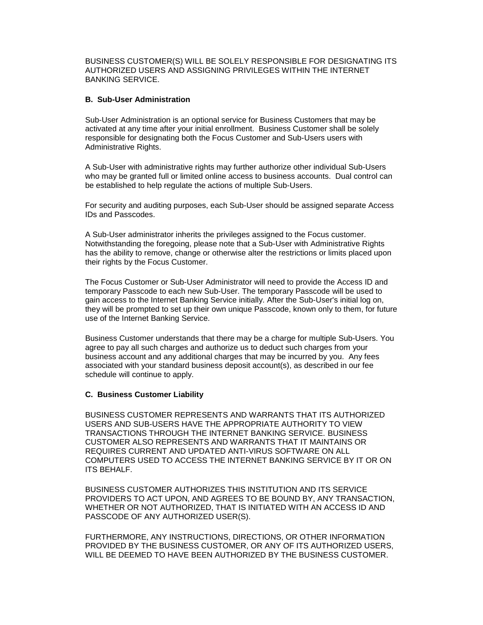BUSINESS CUSTOMER(S) WILL BE SOLELY RESPONSIBLE FOR DESIGNATING ITS AUTHORIZED USERS AND ASSIGNING PRIVILEGES WITHIN THE INTERNET BANKING SERVICE.

### **B. Sub-User Administration**

Sub-User Administration is an optional service for Business Customers that may be activated at any time after your initial enrollment. Business Customer shall be solely responsible for designating both the Focus Customer and Sub-Users users with Administrative Rights.

A Sub-User with administrative rights may further authorize other individual Sub-Users who may be granted full or limited online access to business accounts. Dual control can be established to help regulate the actions of multiple Sub-Users.

For security and auditing purposes, each Sub-User should be assigned separate Access IDs and Passcodes.

A Sub-User administrator inherits the privileges assigned to the Focus customer. Notwithstanding the foregoing, please note that a Sub-User with Administrative Rights has the ability to remove, change or otherwise alter the restrictions or limits placed upon their rights by the Focus Customer.

The Focus Customer or Sub-User Administrator will need to provide the Access ID and temporary Passcode to each new Sub-User. The temporary Passcode will be used to gain access to the Internet Banking Service initially. After the Sub-User's initial log on, they will be prompted to set up their own unique Passcode, known only to them, for future use of the Internet Banking Service.

Business Customer understands that there may be a charge for multiple Sub-Users. You agree to pay all such charges and authorize us to deduct such charges from your business account and any additional charges that may be incurred by you. Any fees associated with your standard business deposit account(s), as described in our fee schedule will continue to apply.

#### **C. Business Customer Liability**

BUSINESS CUSTOMER REPRESENTS AND WARRANTS THAT ITS AUTHORIZED USERS AND SUB-USERS HAVE THE APPROPRIATE AUTHORITY TO VIEW TRANSACTIONS THROUGH THE INTERNET BANKING SERVICE. BUSINESS CUSTOMER ALSO REPRESENTS AND WARRANTS THAT IT MAINTAINS OR REQUIRES CURRENT AND UPDATED ANTI-VIRUS SOFTWARE ON ALL COMPUTERS USED TO ACCESS THE INTERNET BANKING SERVICE BY IT OR ON ITS BEHALF.

BUSINESS CUSTOMER AUTHORIZES THIS INSTITUTION AND ITS SERVICE PROVIDERS TO ACT UPON, AND AGREES TO BE BOUND BY, ANY TRANSACTION, WHETHER OR NOT AUTHORIZED, THAT IS INITIATED WITH AN ACCESS ID AND PASSCODE OF ANY AUTHORIZED USER(S).

FURTHERMORE, ANY INSTRUCTIONS, DIRECTIONS, OR OTHER INFORMATION PROVIDED BY THE BUSINESS CUSTOMER, OR ANY OF ITS AUTHORIZED USERS, WILL BE DEEMED TO HAVE BEEN AUTHORIZED BY THE BUSINESS CUSTOMER.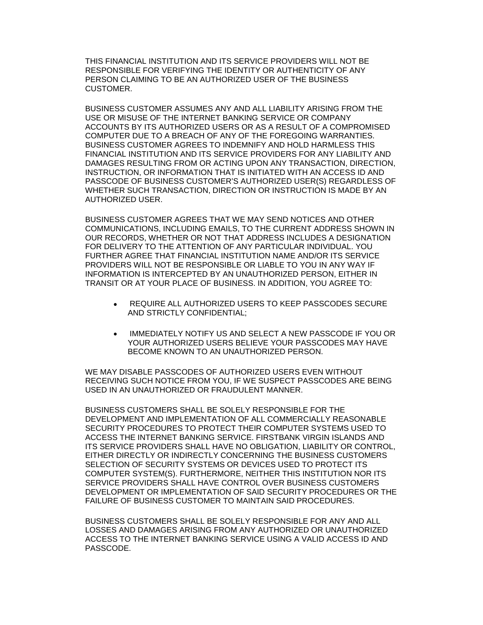THIS FINANCIAL INSTITUTION AND ITS SERVICE PROVIDERS WILL NOT BE RESPONSIBLE FOR VERIFYING THE IDENTITY OR AUTHENTICITY OF ANY PERSON CLAIMING TO BE AN AUTHORIZED USER OF THE BUSINESS CUSTOMER.

BUSINESS CUSTOMER ASSUMES ANY AND ALL LIABILITY ARISING FROM THE USE OR MISUSE OF THE INTERNET BANKING SERVICE OR COMPANY ACCOUNTS BY ITS AUTHORIZED USERS OR AS A RESULT OF A COMPROMISED COMPUTER DUE TO A BREACH OF ANY OF THE FOREGOING WARRANTIES. BUSINESS CUSTOMER AGREES TO INDEMNIFY AND HOLD HARMLESS THIS FINANCIAL INSTITUTION AND ITS SERVICE PROVIDERS FOR ANY LIABILITY AND DAMAGES RESULTING FROM OR ACTING UPON ANY TRANSACTION, DIRECTION, INSTRUCTION, OR INFORMATION THAT IS INITIATED WITH AN ACCESS ID AND PASSCODE OF BUSINESS CUSTOMER'S AUTHORIZED USER(S) REGARDLESS OF WHETHER SUCH TRANSACTION, DIRECTION OR INSTRUCTION IS MADE BY AN AUTHORIZED USER.

BUSINESS CUSTOMER AGREES THAT WE MAY SEND NOTICES AND OTHER COMMUNICATIONS, INCLUDING EMAILS, TO THE CURRENT ADDRESS SHOWN IN OUR RECORDS, WHETHER OR NOT THAT ADDRESS INCLUDES A DESIGNATION FOR DELIVERY TO THE ATTENTION OF ANY PARTICULAR INDIVIDUAL. YOU FURTHER AGREE THAT FINANCIAL INSTITUTION NAME AND/OR ITS SERVICE PROVIDERS WILL NOT BE RESPONSIBLE OR LIABLE TO YOU IN ANY WAY IF INFORMATION IS INTERCEPTED BY AN UNAUTHORIZED PERSON, EITHER IN TRANSIT OR AT YOUR PLACE OF BUSINESS. IN ADDITION, YOU AGREE TO:

- REQUIRE ALL AUTHORIZED USERS TO KEEP PASSCODES SECURE AND STRICTLY CONFIDENTIAL;
- IMMEDIATELY NOTIFY US AND SELECT A NEW PASSCODE IF YOU OR YOUR AUTHORIZED USERS BELIEVE YOUR PASSCODES MAY HAVE BECOME KNOWN TO AN UNAUTHORIZED PERSON.

WE MAY DISABLE PASSCODES OF AUTHORIZED USERS EVEN WITHOUT RECEIVING SUCH NOTICE FROM YOU, IF WE SUSPECT PASSCODES ARE BEING USED IN AN UNAUTHORIZED OR FRAUDULENT MANNER.

BUSINESS CUSTOMERS SHALL BE SOLELY RESPONSIBLE FOR THE DEVELOPMENT AND IMPLEMENTATION OF ALL COMMERCIALLY REASONABLE SECURITY PROCEDURES TO PROTECT THEIR COMPUTER SYSTEMS USED TO ACCESS THE INTERNET BANKING SERVICE. FIRSTBANK VIRGIN ISLANDS AND ITS SERVICE PROVIDERS SHALL HAVE NO OBLIGATION, LIABILITY OR CONTROL, EITHER DIRECTLY OR INDIRECTLY CONCERNING THE BUSINESS CUSTOMERS SELECTION OF SECURITY SYSTEMS OR DEVICES USED TO PROTECT ITS COMPUTER SYSTEM(S). FURTHERMORE, NEITHER THIS INSTITUTION NOR ITS SERVICE PROVIDERS SHALL HAVE CONTROL OVER BUSINESS CUSTOMERS DEVELOPMENT OR IMPLEMENTATION OF SAID SECURITY PROCEDURES OR THE FAILURE OF BUSINESS CUSTOMER TO MAINTAIN SAID PROCEDURES.

BUSINESS CUSTOMERS SHALL BE SOLELY RESPONSIBLE FOR ANY AND ALL LOSSES AND DAMAGES ARISING FROM ANY AUTHORIZED OR UNAUTHORIZED ACCESS TO THE INTERNET BANKING SERVICE USING A VALID ACCESS ID AND PASSCODE.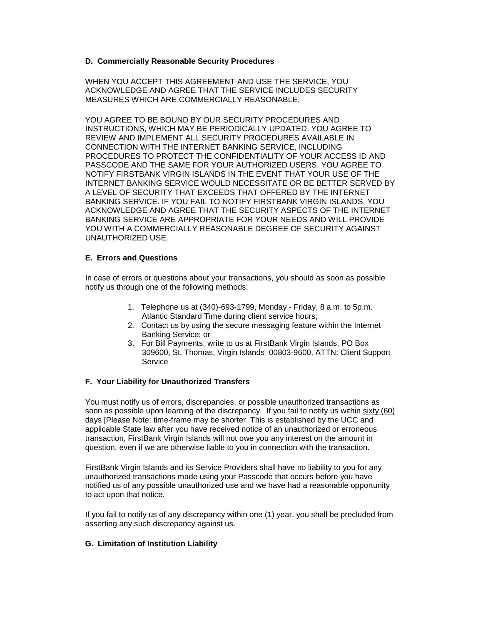### **D. Commercially Reasonable Security Procedures**

WHEN YOU ACCEPT THIS AGREEMENT AND USE THE SERVICE, YOU ACKNOWLEDGE AND AGREE THAT THE SERVICE INCLUDES SECURITY MEASURES WHICH ARE COMMERCIALLY REASONABLE.

YOU AGREE TO BE BOUND BY OUR SECURITY PROCEDURES AND INSTRUCTIONS, WHICH MAY BE PERIODICALLY UPDATED. YOU AGREE TO REVIEW AND IMPLEMENT ALL SECURITY PROCEDURES AVAILABLE IN CONNECTION WITH THE INTERNET BANKING SERVICE, INCLUDING PROCEDURES TO PROTECT THE CONFIDENTIALITY OF YOUR ACCESS ID AND PASSCODE AND THE SAME FOR YOUR AUTHORIZED USERS. YOU AGREE TO NOTIFY FIRSTBANK VIRGIN ISLANDS IN THE EVENT THAT YOUR USE OF THE INTERNET BANKING SERVICE WOULD NECESSITATE OR BE BETTER SERVED BY A LEVEL OF SECURITY THAT EXCEEDS THAT OFFERED BY THE INTERNET BANKING SERVICE. IF YOU FAIL TO NOTIFY FIRSTBANK VIRGIN ISLANDS, YOU ACKNOWLEDGE AND AGREE THAT THE SECURITY ASPECTS OF THE INTERNET BANKING SERVICE ARE APPROPRIATE FOR YOUR NEEDS AND WILL PROVIDE YOU WITH A COMMERCIALLY REASONABLE DEGREE OF SECURITY AGAINST UNAUTHORIZED USE.

### **E. Errors and Questions**

In case of errors or questions about your transactions, you should as soon as possible notify us through one of the following methods:

- 1. Telephone us at (340)-693-1799, Monday Friday, 8 a.m. to 5p.m. Atlantic Standard Time during client service hours;
- 2. Contact us by using the secure messaging feature within the Internet Banking Service; or
- 3. For Bill Payments, write to us at FirstBank Virgin Islands, PO Box 309600, St. Thomas, Virgin Islands 00803-9600, ATTN: Client Support Service

#### **F. Your Liability for Unauthorized Transfers**

You must notify us of errors, discrepancies, or possible unauthorized transactions as soon as possible upon learning of the discrepancy. If you fail to notify us within sixty (60) days [Please Note: time-frame may be shorter. This is established by the UCC and applicable State law after you have received notice of an unauthorized or erroneous transaction, FirstBank Virgin Islands will not owe you any interest on the amount in question, even if we are otherwise liable to you in connection with the transaction.

FirstBank Virgin Islands and its Service Providers shall have no liability to you for any unauthorized transactions made using your Passcode that occurs before you have notified us of any possible unauthorized use and we have had a reasonable opportunity to act upon that notice.

If you fail to notify us of any discrepancy within one (1) year, you shall be precluded from asserting any such discrepancy against us.

#### **G. Limitation of Institution Liability**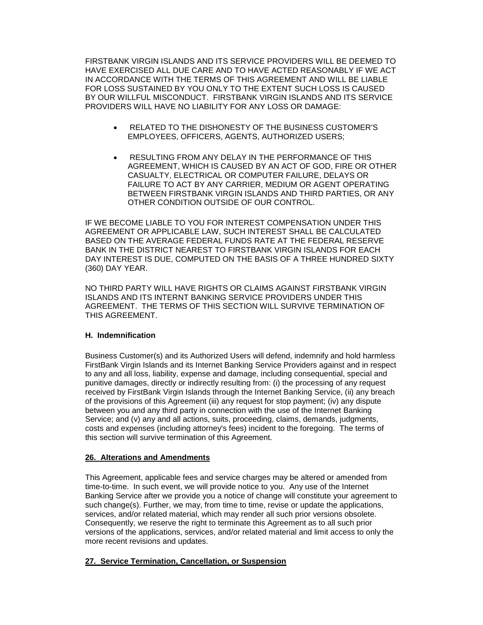FIRSTBANK VIRGIN ISLANDS AND ITS SERVICE PROVIDERS WILL BE DEEMED TO HAVE EXERCISED ALL DUE CARE AND TO HAVE ACTED REASONABLY IF WE ACT IN ACCORDANCE WITH THE TERMS OF THIS AGREEMENT AND WILL BE LIABLE FOR LOSS SUSTAINED BY YOU ONLY TO THE EXTENT SUCH LOSS IS CAUSED BY OUR WILLFUL MISCONDUCT. FIRSTBANK VIRGIN ISLANDS AND ITS SERVICE PROVIDERS WILL HAVE NO LIABILITY FOR ANY LOSS OR DAMAGE:

- RELATED TO THE DISHONESTY OF THE BUSINESS CUSTOMER'S EMPLOYEES, OFFICERS, AGENTS, AUTHORIZED USERS;
- RESULTING FROM ANY DELAY IN THE PERFORMANCE OF THIS AGREEMENT, WHICH IS CAUSED BY AN ACT OF GOD, FIRE OR OTHER CASUALTY, ELECTRICAL OR COMPUTER FAILURE, DELAYS OR FAILURE TO ACT BY ANY CARRIER, MEDIUM OR AGENT OPERATING BETWEEN FIRSTBANK VIRGIN ISLANDS AND THIRD PARTIES, OR ANY OTHER CONDITION OUTSIDE OF OUR CONTROL.

IF WE BECOME LIABLE TO YOU FOR INTEREST COMPENSATION UNDER THIS AGREEMENT OR APPLICABLE LAW, SUCH INTEREST SHALL BE CALCULATED BASED ON THE AVERAGE FEDERAL FUNDS RATE AT THE FEDERAL RESERVE BANK IN THE DISTRICT NEAREST TO FIRSTBANK VIRGIN ISLANDS FOR EACH DAY INTEREST IS DUE, COMPUTED ON THE BASIS OF A THREE HUNDRED SIXTY (360) DAY YEAR.

NO THIRD PARTY WILL HAVE RIGHTS OR CLAIMS AGAINST FIRSTBANK VIRGIN ISLANDS AND ITS INTERNT BANKING SERVICE PROVIDERS UNDER THIS AGREEMENT. THE TERMS OF THIS SECTION WILL SURVIVE TERMINATION OF THIS AGREEMENT.

# **H. Indemnification**

Business Customer(s) and its Authorized Users will defend, indemnify and hold harmless FirstBank Virgin Islands and its Internet Banking Service Providers against and in respect to any and all loss, liability, expense and damage, including consequential, special and punitive damages, directly or indirectly resulting from: (i) the processing of any request received by FirstBank Virgin Islands through the Internet Banking Service, (ii) any breach of the provisions of this Agreement (iii) any request for stop payment; (iv) any dispute between you and any third party in connection with the use of the Internet Banking Service; and (v) any and all actions, suits, proceeding, claims, demands, judgments, costs and expenses (including attorney's fees) incident to the foregoing. The terms of this section will survive termination of this Agreement.

#### <span id="page-25-0"></span>**26. Alterations and Amendments**

This Agreement, applicable fees and service charges may be altered or amended from time-to-time. In such event, we will provide notice to you. Any use of the Internet Banking Service after we provide you a notice of change will constitute your agreement to such change(s). Further, we may, from time to time, revise or update the applications, services, and/or related material, which may render all such prior versions obsolete. Consequently, we reserve the right to terminate this Agreement as to all such prior versions of the applications, services, and/or related material and limit access to only the more recent revisions and updates.

# <span id="page-25-1"></span>**27. Service Termination, Cancellation, or Suspension**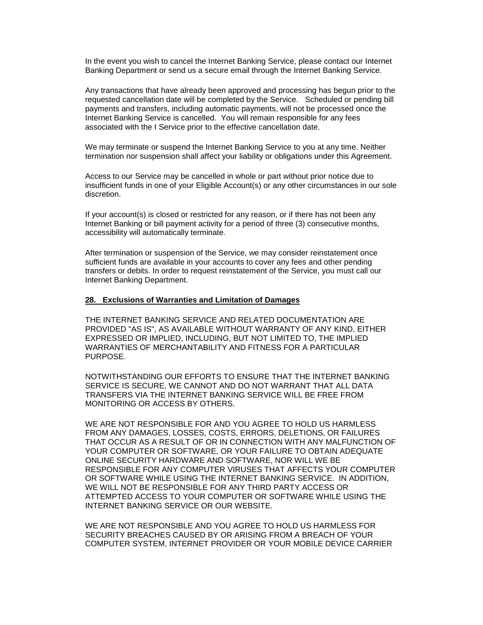In the event you wish to cancel the Internet Banking Service, please contact our Internet Banking Department or send us a secure email through the Internet Banking Service.

Any transactions that have already been approved and processing has begun prior to the requested cancellation date will be completed by the Service. Scheduled or pending bill payments and transfers, including automatic payments, will not be processed once the Internet Banking Service is cancelled. You will remain responsible for any fees associated with the I Service prior to the effective cancellation date.

We may terminate or suspend the Internet Banking Service to you at any time. Neither termination nor suspension shall affect your liability or obligations under this Agreement.

Access to our Service may be cancelled in whole or part without prior notice due to insufficient funds in one of your Eligible Account(s) or any other circumstances in our sole discretion.

If your account(s) is closed or restricted for any reason, or if there has not been any Internet Banking or bill payment activity for a period of three (3) consecutive months, accessibility will automatically terminate.

After termination or suspension of the Service, we may consider reinstatement once sufficient funds are available in your accounts to cover any fees and other pending transfers or debits. In order to request reinstatement of the Service, you must call our Internet Banking Department.

#### <span id="page-26-0"></span>**28. Exclusions of Warranties and Limitation of Damages**

THE INTERNET BANKING SERVICE AND RELATED DOCUMENTATION ARE PROVIDED "AS IS", AS AVAILABLE WITHOUT WARRANTY OF ANY KIND, EITHER EXPRESSED OR IMPLIED, INCLUDING, BUT NOT LIMITED TO, THE IMPLIED WARRANTIES OF MERCHANTABILITY AND FITNESS FOR A PARTICULAR PURPOSE.

NOTWITHSTANDING OUR EFFORTS TO ENSURE THAT THE INTERNET BANKING SERVICE IS SECURE, WE CANNOT AND DO NOT WARRANT THAT ALL DATA TRANSFERS VIA THE INTERNET BANKING SERVICE WILL BE FREE FROM MONITORING OR ACCESS BY OTHERS.

WE ARE NOT RESPONSIBLE FOR AND YOU AGREE TO HOLD US HARMLESS FROM ANY DAMAGES, LOSSES, COSTS, ERRORS, DELETIONS, OR FAILURES THAT OCCUR AS A RESULT OF OR IN CONNECTION WITH ANY MALFUNCTION OF YOUR COMPUTER OR SOFTWARE, OR YOUR FAILURE TO OBTAIN ADEQUATE ONLINE SECURITY HARDWARE AND SOFTWARE, NOR WILL WE BE RESPONSIBLE FOR ANY COMPUTER VIRUSES THAT AFFECTS YOUR COMPUTER OR SOFTWARE WHILE USING THE INTERNET BANKING SERVICE. IN ADDITION, WE WILL NOT BE RESPONSIBLE FOR ANY THIRD PARTY ACCESS OR ATTEMPTED ACCESS TO YOUR COMPUTER OR SOFTWARE WHILE USING THE INTERNET BANKING SERVICE OR OUR WEBSITE.

WE ARE NOT RESPONSIBLE AND YOU AGREE TO HOLD US HARMLESS FOR SECURITY BREACHES CAUSED BY OR ARISING FROM A BREACH OF YOUR COMPUTER SYSTEM, INTERNET PROVIDER OR YOUR MOBILE DEVICE CARRIER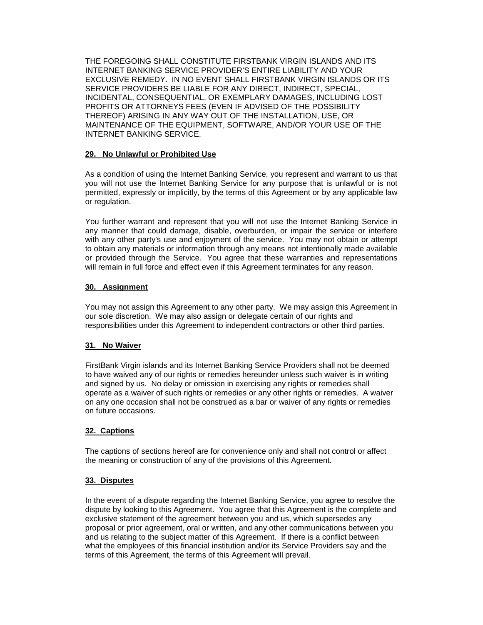THE FOREGOING SHALL CONSTITUTE FIRSTBANK VIRGIN ISLANDS AND ITS INTERNET BANKING SERVICE PROVIDER'S ENTIRE LIABILITY AND YOUR EXCLUSIVE REMEDY. IN NO EVENT SHALL FIRSTBANK VIRGIN ISLANDS OR ITS SERVICE PROVIDERS BE LIABLE FOR ANY DIRECT, INDIRECT, SPECIAL, INCIDENTAL, CONSEQUENTIAL, OR EXEMPLARY DAMAGES, INCLUDING LOST PROFITS OR ATTORNEYS FEES (EVEN IF ADVISED OF THE POSSIBILITY THEREOF) ARISING IN ANY WAY OUT OF THE INSTALLATION, USE, OR MAINTENANCE OF THE EQUIPMENT, SOFTWARE, AND/OR YOUR USE OF THE INTERNET BANKING SERVICE.

### <span id="page-27-0"></span>**29. No Unlawful or Prohibited Use**

As a condition of using the Internet Banking Service, you represent and warrant to us that you will not use the Internet Banking Service for any purpose that is unlawful or is not permitted, expressly or implicitly, by the terms of this Agreement or by any applicable law or regulation.

You further warrant and represent that you will not use the Internet Banking Service in any manner that could damage, disable, overburden, or impair the service or interfere with any other party's use and enjoyment of the service. You may not obtain or attempt to obtain any materials or information through any means not intentionally made available or provided through the Service. You agree that these warranties and representations will remain in full force and effect even if this Agreement terminates for any reason.

# <span id="page-27-1"></span>**30. Assignment**

You may not assign this Agreement to any other party. We may assign this Agreement in our sole discretion. We may also assign or delegate certain of our rights and responsibilities under this Agreement to independent contractors or other third parties.

# <span id="page-27-2"></span>**31. No Waiver**

FirstBank Virgin islands and its Internet Banking Service Providers shall not be deemed to have waived any of our rights or remedies hereunder unless such waiver is in writing and signed by us. No delay or omission in exercising any rights or remedies shall operate as a waiver of such rights or remedies or any other rights or remedies. A waiver on any one occasion shall not be construed as a bar or waiver of any rights or remedies on future occasions.

# <span id="page-27-3"></span>**32. Captions**

The captions of sections hereof are for convenience only and shall not control or affect the meaning or construction of any of the provisions of this Agreement.

# <span id="page-27-4"></span>**33. Disputes**

In the event of a dispute regarding the Internet Banking Service, you agree to resolve the dispute by looking to this Agreement. You agree that this Agreement is the complete and exclusive statement of the agreement between you and us, which supersedes any proposal or prior agreement, oral or written, and any other communications between you and us relating to the subject matter of this Agreement. If there is a conflict between what the employees of this financial institution and/or its Service Providers say and the terms of this Agreement, the terms of this Agreement will prevail.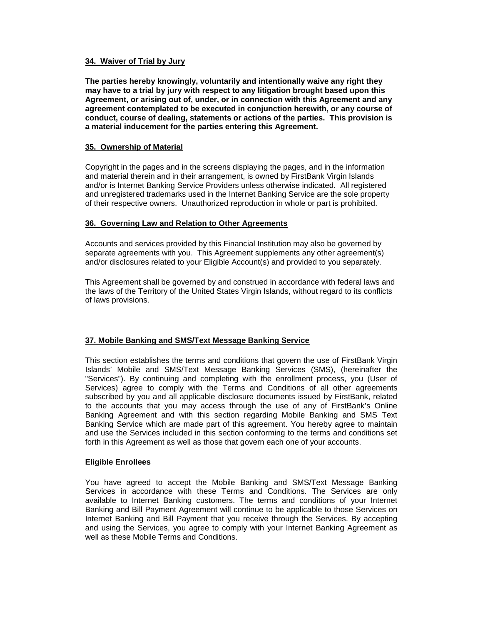### <span id="page-28-0"></span>**34. Waiver of Trial by Jury**

**The parties hereby knowingly, voluntarily and intentionally waive any right they may have to a trial by jury with respect to any litigation brought based upon this Agreement, or arising out of, under, or in connection with this Agreement and any agreement contemplated to be executed in conjunction herewith, or any course of conduct, course of dealing, statements or actions of the parties. This provision is a material inducement for the parties entering this Agreement.**

### <span id="page-28-1"></span>**35. Ownership of Material**

Copyright in the pages and in the screens displaying the pages, and in the information and material therein and in their arrangement, is owned by FirstBank Virgin Islands and/or is Internet Banking Service Providers unless otherwise indicated. All registered and unregistered trademarks used in the Internet Banking Service are the sole property of their respective owners. Unauthorized reproduction in whole or part is prohibited.

# <span id="page-28-2"></span>**36. Governing Law and Relation to Other Agreements**

Accounts and services provided by this Financial Institution may also be governed by separate agreements with you. This Agreement supplements any other agreement(s) and/or disclosures related to your Eligible Account(s) and provided to you separately.

This Agreement shall be governed by and construed in accordance with federal laws and the laws of the Territory of the United States Virgin Islands, without regard to its conflicts of laws provisions.

# **37. Mobile Banking and SMS/Text Message Banking Service**

This section establishes the terms and conditions that govern the use of FirstBank Virgin Islands' Mobile and SMS/Text Message Banking Services (SMS), (hereinafter the "Services"). By continuing and completing with the enrollment process, you (User of Services) agree to comply with the Terms and Conditions of all other agreements subscribed by you and all applicable disclosure documents issued by FirstBank, related to the accounts that you may access through the use of any of FirstBank's Online Banking Agreement and with this section regarding Mobile Banking and SMS Text Banking Service which are made part of this agreement. You hereby agree to maintain and use the Services included in this section conforming to the terms and conditions set forth in this Agreement as well as those that govern each one of your accounts.

#### **Eligible Enrollees**

You have agreed to accept the Mobile Banking and SMS/Text Message Banking Services in accordance with these Terms and Conditions. The Services are only available to Internet Banking customers. The terms and conditions of your Internet Banking and Bill Payment Agreement will continue to be applicable to those Services on Internet Banking and Bill Payment that you receive through the Services. By accepting and using the Services, you agree to comply with your Internet Banking Agreement as well as these Mobile Terms and Conditions.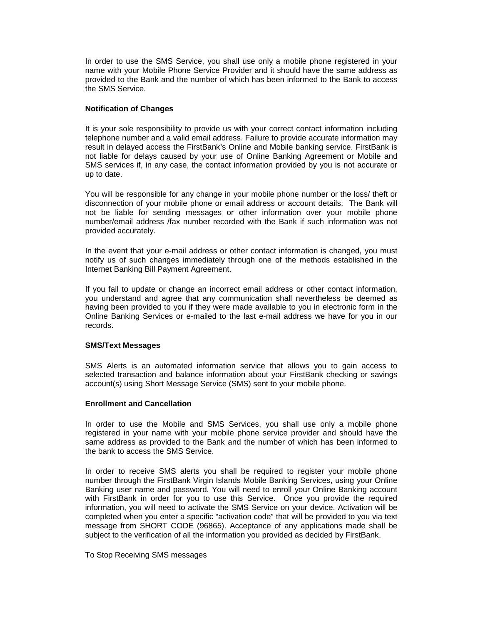In order to use the SMS Service, you shall use only a mobile phone registered in your name with your Mobile Phone Service Provider and it should have the same address as provided to the Bank and the number of which has been informed to the Bank to access the SMS Service.

### **Notification of Changes**

It is your sole responsibility to provide us with your correct contact information including telephone number and a valid email address. Failure to provide accurate information may result in delayed access the FirstBank's Online and Mobile banking service. FirstBank is not liable for delays caused by your use of Online Banking Agreement or Mobile and SMS services if, in any case, the contact information provided by you is not accurate or up to date.

You will be responsible for any change in your mobile phone number or the loss/ theft or disconnection of your mobile phone or email address or account details. The Bank will not be liable for sending messages or other information over your mobile phone number/email address /fax number recorded with the Bank if such information was not provided accurately.

In the event that your e-mail address or other contact information is changed, you must notify us of such changes immediately through one of the methods established in the Internet Banking Bill Payment Agreement.

If you fail to update or change an incorrect email address or other contact information, you understand and agree that any communication shall nevertheless be deemed as having been provided to you if they were made available to you in electronic form in the Online Banking Services or e-mailed to the last e-mail address we have for you in our records.

#### **SMS/Text Messages**

SMS Alerts is an automated information service that allows you to gain access to selected transaction and balance information about your FirstBank checking or savings account(s) using Short Message Service (SMS) sent to your mobile phone.

### **Enrollment and Cancellation**

In order to use the Mobile and SMS Services, you shall use only a mobile phone registered in your name with your mobile phone service provider and should have the same address as provided to the Bank and the number of which has been informed to the bank to access the SMS Service.

In order to receive SMS alerts you shall be required to register your mobile phone number through the FirstBank Virgin Islands Mobile Banking Services, using your Online Banking user name and password. You will need to enroll your Online Banking account with FirstBank in order for you to use this Service. Once you provide the required information, you will need to activate the SMS Service on your device. Activation will be completed when you enter a specific "activation code" that will be provided to you via text message from SHORT CODE (96865). Acceptance of any applications made shall be subject to the verification of all the information you provided as decided by FirstBank.

#### To Stop Receiving SMS messages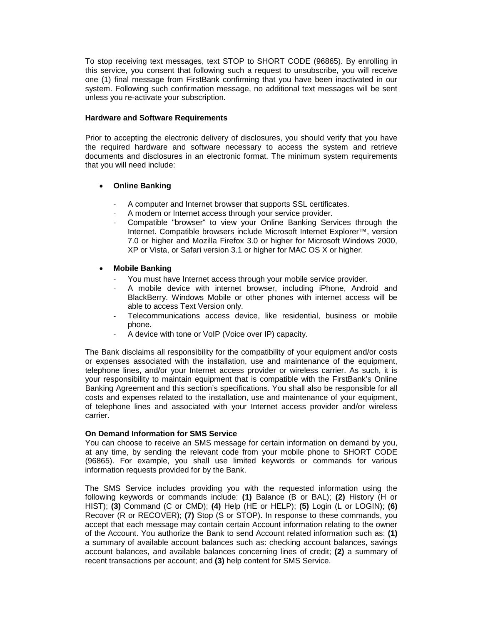To stop receiving text messages, text STOP to SHORT CODE (96865). By enrolling in this service, you consent that following such a request to unsubscribe, you will receive one (1) final message from FirstBank confirming that you have been inactivated in our system. Following such confirmation message, no additional text messages will be sent unless you re-activate your subscription.

#### **Hardware and Software Requirements**

Prior to accepting the electronic delivery of disclosures, you should verify that you have the required hardware and software necessary to access the system and retrieve documents and disclosures in an electronic format. The minimum system requirements that you will need include:

### • **Online Banking**

- A computer and Internet browser that supports SSL certificates.
- A modem or Internet access through your service provider.
- Compatible "browser" to view your Online Banking Services through the Internet. Compatible browsers include Microsoft Internet Explorer™, version 7.0 or higher and Mozilla Firefox 3.0 or higher for Microsoft Windows 2000, XP or Vista, or Safari version 3.1 or higher for MAC OS X or higher.

### • **Mobile Banking**

- You must have Internet access through your mobile service provider.
- A mobile device with internet browser, including iPhone, Android and BlackBerry. Windows Mobile or other phones with internet access will be able to access Text Version only.
- Telecommunications access device, like residential, business or mobile phone.
- A device with tone or VoIP (Voice over IP) capacity.

The Bank disclaims all responsibility for the compatibility of your equipment and/or costs or expenses associated with the installation, use and maintenance of the equipment, telephone lines, and/or your Internet access provider or wireless carrier. As such, it is your responsibility to maintain equipment that is compatible with the FirstBank's Online Banking Agreement and this section's specifications. You shall also be responsible for all costs and expenses related to the installation, use and maintenance of your equipment, of telephone lines and associated with your Internet access provider and/or wireless carrier.

#### **On Demand Information for SMS Service**

You can choose to receive an SMS message for certain information on demand by you, at any time, by sending the relevant code from your mobile phone to SHORT CODE (96865). For example, you shall use limited keywords or commands for various information requests provided for by the Bank.

The SMS Service includes providing you with the requested information using the following keywords or commands include: **(1)** Balance (B or BAL); **(2)** History (H or HIST); **(3)** Command (C or CMD); **(4)** Help (HE or HELP); **(5)** Login (L or LOGIN); **(6)** Recover (R or RECOVER); **(7)** Stop (S or STOP). In response to these commands, you accept that each message may contain certain Account information relating to the owner of the Account. You authorize the Bank to send Account related information such as: **(1)** a summary of available account balances such as: checking account balances, savings account balances, and available balances concerning lines of credit; **(2)** a summary of recent transactions per account; and **(3)** help content for SMS Service.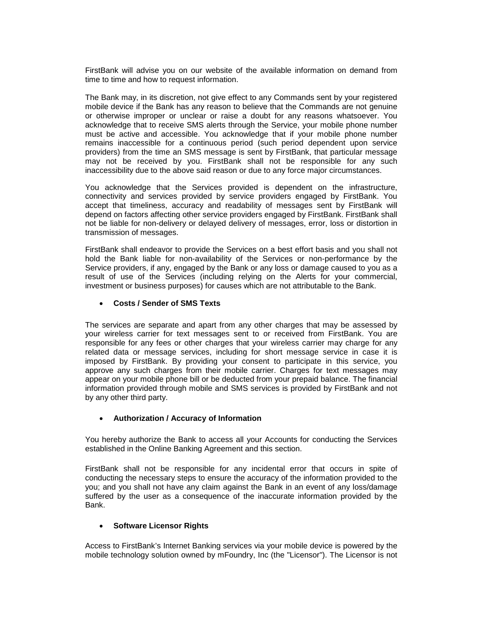FirstBank will advise you on our website of the available information on demand from time to time and how to request information.

The Bank may, in its discretion, not give effect to any Commands sent by your registered mobile device if the Bank has any reason to believe that the Commands are not genuine or otherwise improper or unclear or raise a doubt for any reasons whatsoever. You acknowledge that to receive SMS alerts through the Service, your mobile phone number must be active and accessible. You acknowledge that if your mobile phone number remains inaccessible for a continuous period (such period dependent upon service providers) from the time an SMS message is sent by FirstBank, that particular message may not be received by you. FirstBank shall not be responsible for any such inaccessibility due to the above said reason or due to any force major circumstances.

You acknowledge that the Services provided is dependent on the infrastructure, connectivity and services provided by service providers engaged by FirstBank. You accept that timeliness, accuracy and readability of messages sent by FirstBank will depend on factors affecting other service providers engaged by FirstBank. FirstBank shall not be liable for non-delivery or delayed delivery of messages, error, loss or distortion in transmission of messages.

FirstBank shall endeavor to provide the Services on a best effort basis and you shall not hold the Bank liable for non-availability of the Services or non-performance by the Service providers, if any, engaged by the Bank or any loss or damage caused to you as a result of use of the Services (including relying on the Alerts for your commercial, investment or business purposes) for causes which are not attributable to the Bank.

#### • **Costs / Sender of SMS Texts**

The services are separate and apart from any other charges that may be assessed by your wireless carrier for text messages sent to or received from FirstBank. You are responsible for any fees or other charges that your wireless carrier may charge for any related data or message services, including for short message service in case it is imposed by FirstBank. By providing your consent to participate in this service, you approve any such charges from their mobile carrier. Charges for text messages may appear on your mobile phone bill or be deducted from your prepaid balance. The financial information provided through mobile and SMS services is provided by FirstBank and not by any other third party.

#### • **Authorization / Accuracy of Information**

You hereby authorize the Bank to access all your Accounts for conducting the Services established in the Online Banking Agreement and this section.

FirstBank shall not be responsible for any incidental error that occurs in spite of conducting the necessary steps to ensure the accuracy of the information provided to the you; and you shall not have any claim against the Bank in an event of any loss/damage suffered by the user as a consequence of the inaccurate information provided by the Bank.

#### • **Software Licensor Rights**

Access to FirstBank's Internet Banking services via your mobile device is powered by the mobile technology solution owned by mFoundry, Inc (the "Licensor"). The Licensor is not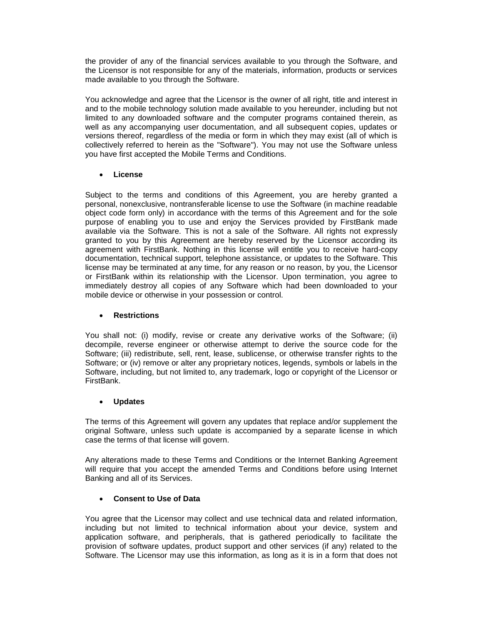the provider of any of the financial services available to you through the Software, and the Licensor is not responsible for any of the materials, information, products or services made available to you through the Software.

You acknowledge and agree that the Licensor is the owner of all right, title and interest in and to the mobile technology solution made available to you hereunder, including but not limited to any downloaded software and the computer programs contained therein, as well as any accompanying user documentation, and all subsequent copies, updates or versions thereof, regardless of the media or form in which they may exist (all of which is collectively referred to herein as the "Software"). You may not use the Software unless you have first accepted the Mobile Terms and Conditions.

# • **License**

Subject to the terms and conditions of this Agreement, you are hereby granted a personal, nonexclusive, nontransferable license to use the Software (in machine readable object code form only) in accordance with the terms of this Agreement and for the sole purpose of enabling you to use and enjoy the Services provided by FirstBank made available via the Software. This is not a sale of the Software. All rights not expressly granted to you by this Agreement are hereby reserved by the Licensor according its agreement with FirstBank. Nothing in this license will entitle you to receive hard-copy documentation, technical support, telephone assistance, or updates to the Software. This license may be terminated at any time, for any reason or no reason, by you, the Licensor or FirstBank within its relationship with the Licensor. Upon termination, you agree to immediately destroy all copies of any Software which had been downloaded to your mobile device or otherwise in your possession or control.

### • **Restrictions**

You shall not: (i) modify, revise or create any derivative works of the Software; (ii) decompile, reverse engineer or otherwise attempt to derive the source code for the Software; (iii) redistribute, sell, rent, lease, sublicense, or otherwise transfer rights to the Software; or (iv) remove or alter any proprietary notices, legends, symbols or labels in the Software, including, but not limited to, any trademark, logo or copyright of the Licensor or FirstBank.

#### • **Updates**

The terms of this Agreement will govern any updates that replace and/or supplement the original Software, unless such update is accompanied by a separate license in which case the terms of that license will govern.

Any alterations made to these Terms and Conditions or the Internet Banking Agreement will require that you accept the amended Terms and Conditions before using Internet Banking and all of its Services.

# • **Consent to Use of Data**

You agree that the Licensor may collect and use technical data and related information, including but not limited to technical information about your device, system and application software, and peripherals, that is gathered periodically to facilitate the provision of software updates, product support and other services (if any) related to the Software. The Licensor may use this information, as long as it is in a form that does not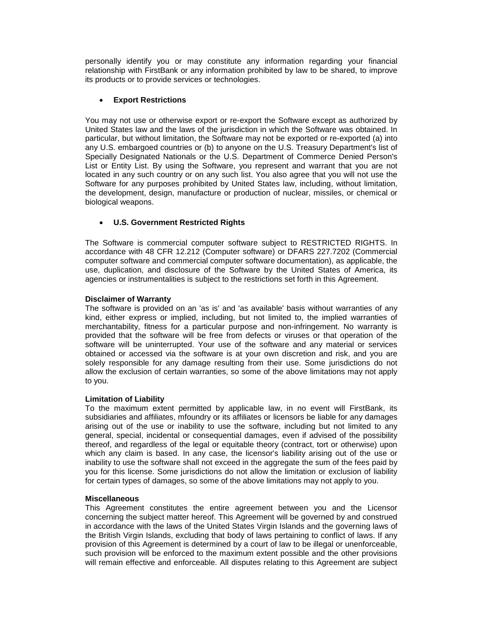personally identify you or may constitute any information regarding your financial relationship with FirstBank or any information prohibited by law to be shared, to improve its products or to provide services or technologies.

### • **Export Restrictions**

You may not use or otherwise export or re-export the Software except as authorized by United States law and the laws of the jurisdiction in which the Software was obtained. In particular, but without limitation, the Software may not be exported or re-exported (a) into any U.S. embargoed countries or (b) to anyone on the U.S. Treasury Department's list of Specially Designated Nationals or the U.S. Department of Commerce Denied Person's List or Entity List. By using the Software, you represent and warrant that you are not located in any such country or on any such list. You also agree that you will not use the Software for any purposes prohibited by United States law, including, without limitation, the development, design, manufacture or production of nuclear, missiles, or chemical or biological weapons.

### • **U.S. Government Restricted Rights**

The Software is commercial computer software subject to RESTRICTED RIGHTS. In accordance with 48 CFR 12.212 (Computer software) or DFARS 227.7202 (Commercial computer software and commercial computer software documentation), as applicable, the use, duplication, and disclosure of the Software by the United States of America, its agencies or instrumentalities is subject to the restrictions set forth in this Agreement.

#### **Disclaimer of Warranty**

The software is provided on an 'as is' and 'as available' basis without warranties of any kind, either express or implied, including, but not limited to, the implied warranties of merchantability, fitness for a particular purpose and non-infringement. No warranty is provided that the software will be free from defects or viruses or that operation of the software will be uninterrupted. Your use of the software and any material or services obtained or accessed via the software is at your own discretion and risk, and you are solely responsible for any damage resulting from their use. Some jurisdictions do not allow the exclusion of certain warranties, so some of the above limitations may not apply to you.

#### **Limitation of Liability**

To the maximum extent permitted by applicable law, in no event will FirstBank, its subsidiaries and affiliates, mfoundry or its affiliates or licensors be liable for any damages arising out of the use or inability to use the software, including but not limited to any general, special, incidental or consequential damages, even if advised of the possibility thereof, and regardless of the legal or equitable theory (contract, tort or otherwise) upon which any claim is based. In any case, the licensor's liability arising out of the use or inability to use the software shall not exceed in the aggregate the sum of the fees paid by you for this license. Some jurisdictions do not allow the limitation or exclusion of liability for certain types of damages, so some of the above limitations may not apply to you.

#### **Miscellaneous**

This Agreement constitutes the entire agreement between you and the Licensor concerning the subject matter hereof. This Agreement will be governed by and construed in accordance with the laws of the United States Virgin Islands and the governing laws of the British Virgin Islands, excluding that body of laws pertaining to conflict of laws. If any provision of this Agreement is determined by a court of law to be illegal or unenforceable, such provision will be enforced to the maximum extent possible and the other provisions will remain effective and enforceable. All disputes relating to this Agreement are subject